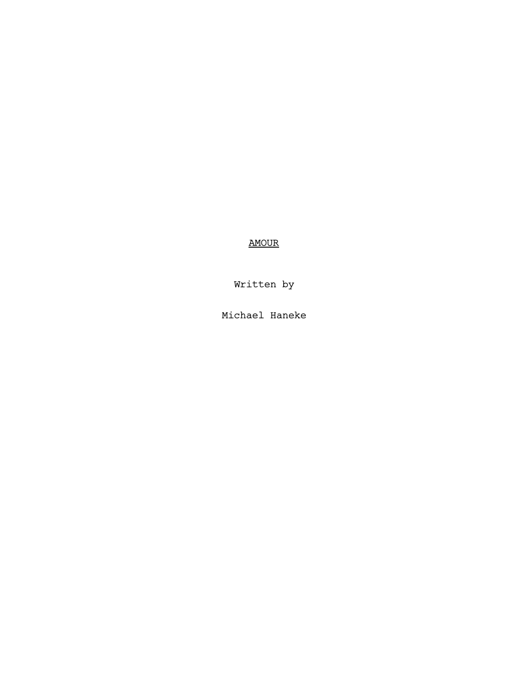AMOUR

Written by

Michael Haneke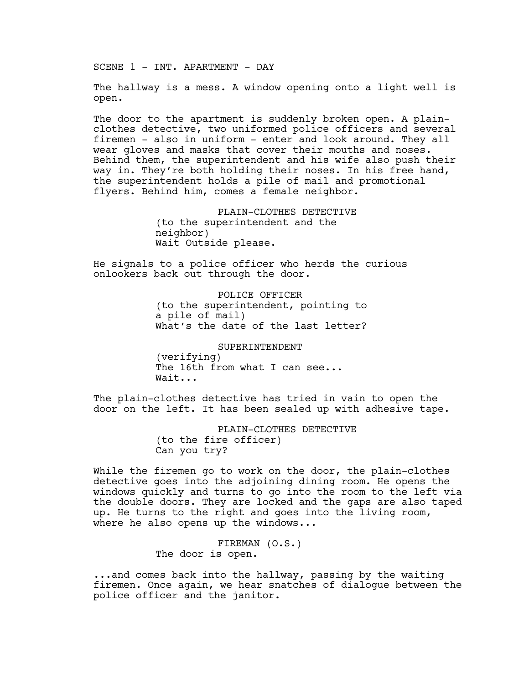SCENE 1 - INT. APARTMENT - DAY

The hallway is a mess. A window opening onto a light well is open.

The door to the apartment is suddenly broken open. A plainclothes detective, two uniformed police officers and several firemen - also in uniform - enter and look around. They all wear gloves and masks that cover their mouths and noses. Behind them, the superintendent and his wife also push their way in. They're both holding their noses. In his free hand, the superintendent holds a pile of mail and promotional flyers. Behind him, comes a female neighbor.

> PLAIN-CLOTHES DETECTIVE (to the superintendent and the neighbor) Wait Outside please.

He signals to a police officer who herds the curious onlookers back out through the door.

> POLICE OFFICER (to the superintendent, pointing to a pile of mail) What's the date of the last letter?

SUPERINTENDENT (verifying) The 16th from what I can see... Wait...

The plain-clothes detective has tried in vain to open the door on the left. It has been sealed up with adhesive tape.

> PLAIN-CLOTHES DETECTIVE (to the fire officer) Can you try?

While the firemen go to work on the door, the plain-clothes detective goes into the adjoining dining room. He opens the windows quickly and turns to go into the room to the left via the double doors. They are locked and the gaps are also taped up. He turns to the right and goes into the living room, where he also opens up the windows...

> FIREMAN (O.S.) The door is open.

...and comes back into the hallway, passing by the waiting firemen. Once again, we hear snatches of dialogue between the police officer and the janitor.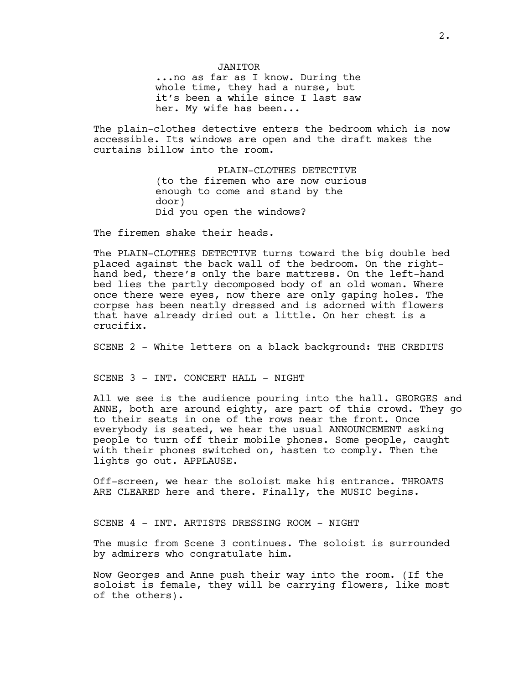JANITOR ...no as far as I know. During the whole time, they had a nurse, but it's been a while since I last saw her. My wife has been...

The plain-clothes detective enters the bedroom which is now accessible. Its windows are open and the draft makes the curtains billow into the room.

> PLAIN-CLOTHES DETECTIVE (to the firemen who are now curious enough to come and stand by the door) Did you open the windows?

The firemen shake their heads.

The PLAIN-CLOTHES DETECTIVE turns toward the big double bed placed against the back wall of the bedroom. On the righthand bed, there's only the bare mattress. On the left-hand bed lies the partly decomposed body of an old woman. Where once there were eyes, now there are only gaping holes. The corpse has been neatly dressed and is adorned with flowers that have already dried out a little. On her chest is a crucifix.

SCENE 2 - White letters on a black background: THE CREDITS

SCENE 3 - INT. CONCERT HALL - NIGHT

All we see is the audience pouring into the hall. GEORGES and ANNE, both are around eighty, are part of this crowd. They go to their seats in one of the rows near the front. Once everybody is seated, we hear the usual ANNOUNCEMENT asking people to turn off their mobile phones. Some people, caught with their phones switched on, hasten to comply. Then the lights go out. APPLAUSE.

Off-screen, we hear the soloist make his entrance. THROATS ARE CLEARED here and there. Finally, the MUSIC begins.

SCENE 4 - INT. ARTISTS DRESSING ROOM - NIGHT

The music from Scene 3 continues. The soloist is surrounded by admirers who congratulate him.

Now Georges and Anne push their way into the room. (If the soloist is female, they will be carrying flowers, like most of the others).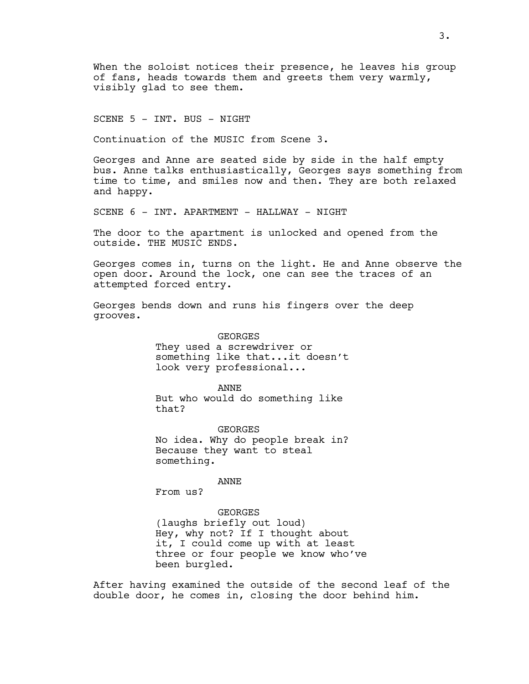When the soloist notices their presence, he leaves his group of fans, heads towards them and greets them very warmly, visibly glad to see them.

SCENE 5 - INT. BUS - NIGHT

Continuation of the MUSIC from Scene 3.

Georges and Anne are seated side by side in the half empty bus. Anne talks enthusiastically, Georges says something from time to time, and smiles now and then. They are both relaxed and happy.

SCENE 6 - INT. APARTMENT - HALLWAY - NIGHT

The door to the apartment is unlocked and opened from the outside. THE MUSIC ENDS.

Georges comes in, turns on the light. He and Anne observe the open door. Around the lock, one can see the traces of an attempted forced entry.

Georges bends down and runs his fingers over the deep grooves.

> GEORGES They used a screwdriver or something like that...it doesn't look very professional...

ANNE But who would do something like that?

**GEORGES** No idea. Why do people break in? Because they want to steal something.

ANNE

From us?

GEORGES

(laughs briefly out loud) Hey, why not? If I thought about it, I could come up with at least three or four people we know who've been burgled.

After having examined the outside of the second leaf of the double door, he comes in, closing the door behind him.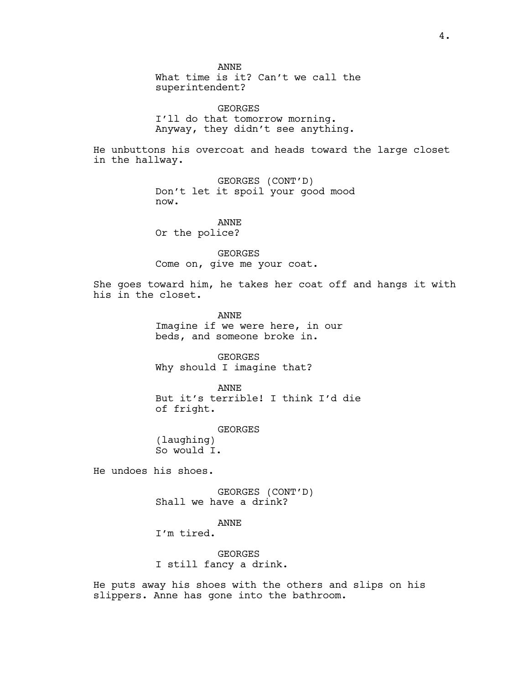ANNE What time is it? Can't we call the superintendent?

GEORGES I'll do that tomorrow morning. Anyway, they didn't see anything.

He unbuttons his overcoat and heads toward the large closet in the hallway.

> GEORGES (CONT'D) Don't let it spoil your good mood now.

ANNE Or the police?

GEORGES Come on, give me your coat.

She goes toward him, he takes her coat off and hangs it with his in the closet.

> ANNE Imagine if we were here, in our beds, and someone broke in.

GEORGES Why should I imagine that?

ANNE But it's terrible! I think I'd die of fright.

GEORGES (laughing) So would I.

He undoes his shoes.

GEORGES (CONT'D) Shall we have a drink?

ANNE

I'm tired.

GEORGES I still fancy a drink.

He puts away his shoes with the others and slips on his slippers. Anne has gone into the bathroom.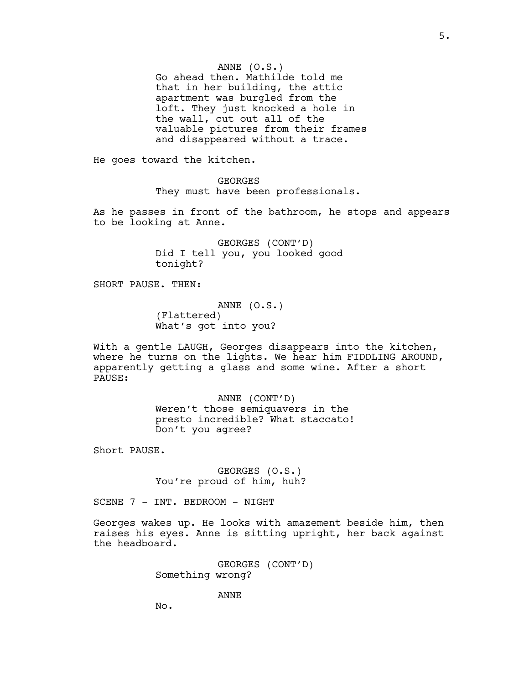ANNE (O.S.)

Go ahead then. Mathilde told me that in her building, the attic apartment was burgled from the loft. They just knocked a hole in the wall, cut out all of the valuable pictures from their frames and disappeared without a trace.

He goes toward the kitchen.

GEORGES They must have been professionals.

As he passes in front of the bathroom, he stops and appears to be looking at Anne.

> GEORGES (CONT'D) Did I tell you, you looked good tonight?

SHORT PAUSE. THEN:

ANNE (O.S.) (Flattered) What's got into you?

With a gentle LAUGH, Georges disappears into the kitchen, where he turns on the lights. We hear him FIDDLING AROUND, apparently getting a glass and some wine. After a short PAUSE:

> ANNE (CONT'D) Weren't those semiquavers in the presto incredible? What staccato! Don't you agree?

Short PAUSE.

GEORGES (O.S.) You're proud of him, huh?

SCENE 7 - INT. BEDROOM - NIGHT

Georges wakes up. He looks with amazement beside him, then raises his eyes. Anne is sitting upright, her back against the headboard.

> GEORGES (CONT'D) Something wrong?

> > ANNE

No.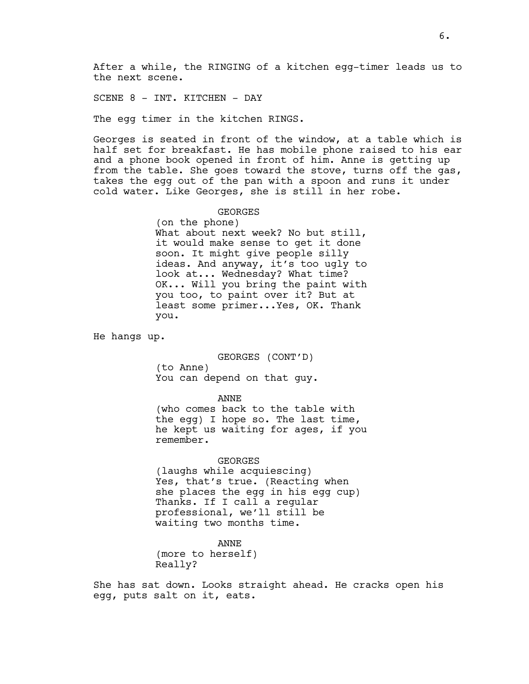After a while, the RINGING of a kitchen egg-timer leads us to the next scene.

SCENE 8 - INT. KITCHEN - DAY

The egg timer in the kitchen RINGS.

Georges is seated in front of the window, at a table which is half set for breakfast. He has mobile phone raised to his ear and a phone book opened in front of him. Anne is getting up from the table. She goes toward the stove, turns off the gas, takes the egg out of the pan with a spoon and runs it under cold water. Like Georges, she is still in her robe.

GEORGES

(on the phone) What about next week? No but still, it would make sense to get it done soon. It might give people silly ideas. And anyway, it's too ugly to look at... Wednesday? What time? OK... Will you bring the paint with you too, to paint over it? But at least some primer...Yes, OK. Thank you.

He hangs up.

GEORGES (CONT'D) (to Anne) You can depend on that guy.

#### ANNE

(who comes back to the table with the egg) I hope so. The last time, he kept us waiting for ages, if you remember.

GEORGES

(laughs while acquiescing) Yes, that's true. (Reacting when she places the egg in his egg cup) Thanks. If I call a regular professional, we'll still be waiting two months time.

ANNE

(more to herself) Really?

She has sat down. Looks straight ahead. He cracks open his egg, puts salt on it, eats.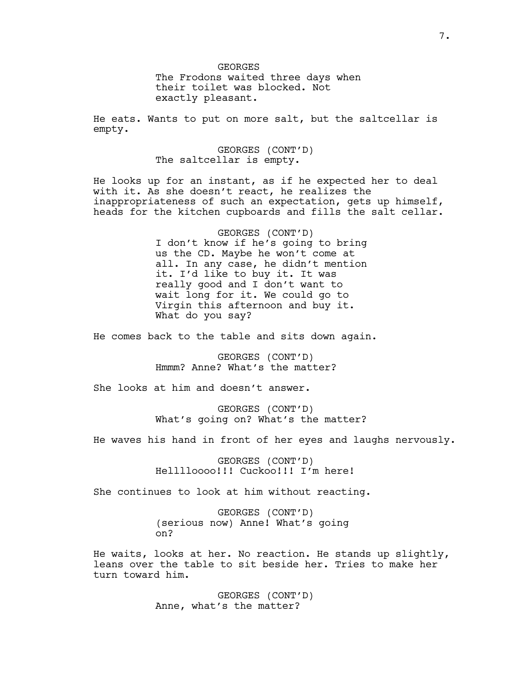GEORGES The Frodons waited three days when their toilet was blocked. Not exactly pleasant.

He eats. Wants to put on more salt, but the saltcellar is empty.

> GEORGES (CONT'D) The saltcellar is empty.

He looks up for an instant, as if he expected her to deal with it. As she doesn't react, he realizes the inappropriateness of such an expectation, gets up himself, heads for the kitchen cupboards and fills the salt cellar.

> GEORGES (CONT'D) I don't know if he's going to bring us the CD. Maybe he won't come at all. In any case, he didn't mention it. I'd like to buy it. It was really good and I don't want to wait long for it. We could go to Virgin this afternoon and buy it. What do you say?

He comes back to the table and sits down again.

GEORGES (CONT'D) Hmmm? Anne? What's the matter?

She looks at him and doesn't answer.

GEORGES (CONT'D) What's going on? What's the matter?

He waves his hand in front of her eyes and laughs nervously.

GEORGES (CONT'D) Helllloooo!!! Cuckoo!!! I'm here!

She continues to look at him without reacting.

GEORGES (CONT'D) (serious now) Anne! What's going on?

He waits, looks at her. No reaction. He stands up slightly, leans over the table to sit beside her. Tries to make her turn toward him.

> GEORGES (CONT'D) Anne, what's the matter?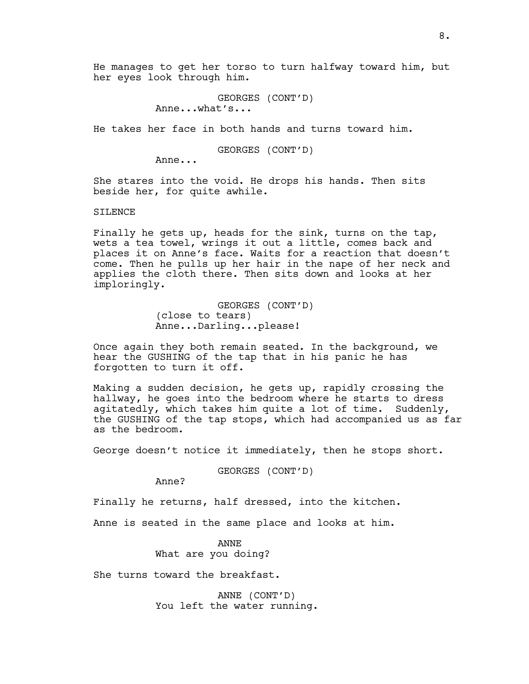He manages to get her torso to turn halfway toward him, but her eyes look through him.

> GEORGES (CONT'D) Anne...what's...

He takes her face in both hands and turns toward him.

GEORGES (CONT'D)

Anne...

She stares into the void. He drops his hands. Then sits beside her, for quite awhile.

SILENCE

Finally he gets up, heads for the sink, turns on the tap, wets a tea towel, wrings it out a little, comes back and places it on Anne's face. Waits for a reaction that doesn't come. Then he pulls up her hair in the nape of her neck and applies the cloth there. Then sits down and looks at her imploringly.

> GEORGES (CONT'D) (close to tears) Anne...Darling...please!

Once again they both remain seated. In the background, we hear the GUSHING of the tap that in his panic he has forgotten to turn it off.

Making a sudden decision, he gets up, rapidly crossing the hallway, he goes into the bedroom where he starts to dress agitatedly, which takes him quite a lot of time. Suddenly, the GUSHING of the tap stops, which had accompanied us as far as the bedroom.

George doesn't notice it immediately, then he stops short.

GEORGES (CONT'D)

Anne?

Finally he returns, half dressed, into the kitchen.

Anne is seated in the same place and looks at him.

ANNE What are you doing?

She turns toward the breakfast.

ANNE (CONT'D) You left the water running.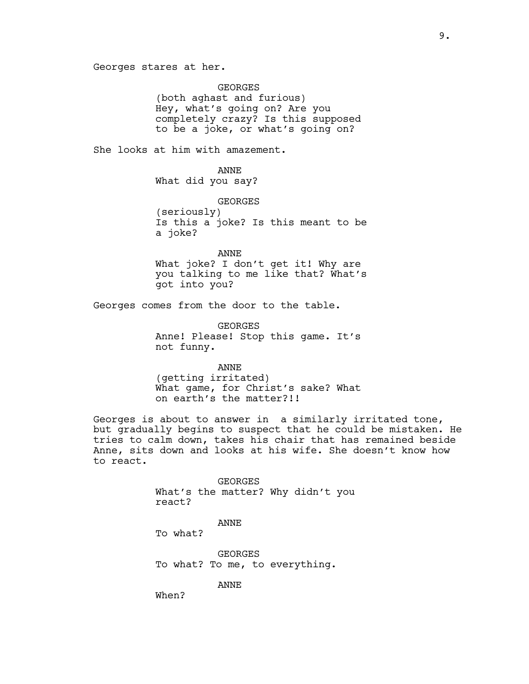Georges stares at her.

GEORGES (both aghast and furious) Hey, what's going on? Are you completely crazy? Is this supposed to be a joke, or what's going on?

She looks at him with amazement.

ANNE What did you say?

GEORGES (seriously) Is this a joke? Is this meant to be a joke?

ANNE What joke? I don't get it! Why are you talking to me like that? What's got into you?

Georges comes from the door to the table.

GEORGES Anne! Please! Stop this game. It's not funny.

ANNE (getting irritated) What game, for Christ's sake? What on earth's the matter?!!

Georges is about to answer in a similarly irritated tone, but gradually begins to suspect that he could be mistaken. He tries to calm down, takes his chair that has remained beside Anne, sits down and looks at his wife. She doesn't know how to react.

> GEORGES What's the matter? Why didn't you react?

> > ANNE

To what?

GEORGES To what? To me, to everything.

ANNE

When?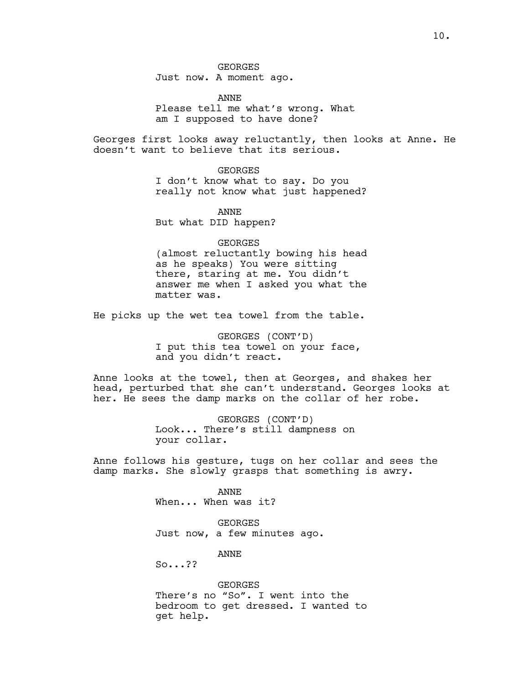Just now. A moment ago.

ANNE Please tell me what's wrong. What am I supposed to have done?

Georges first looks away reluctantly, then looks at Anne. He doesn't want to believe that its serious.

GEORGES

I don't know what to say. Do you really not know what just happened?

ANNE But what DID happen?

GEORGES (almost reluctantly bowing his head as he speaks) You were sitting there, staring at me. You didn't answer me when I asked you what the matter was.

He picks up the wet tea towel from the table.

GEORGES (CONT'D) I put this tea towel on your face, and you didn't react.

Anne looks at the towel, then at Georges, and shakes her head, perturbed that she can't understand. Georges looks at her. He sees the damp marks on the collar of her robe.

> GEORGES (CONT'D) Look... There's still dampness on your collar.

Anne follows his gesture, tugs on her collar and sees the damp marks. She slowly grasps that something is awry.

> ANNE When... When was it?

GEORGES Just now, a few minutes ago.

ANNE

So...??

GEORGES There's no "So". I went into the bedroom to get dressed. I wanted to get help.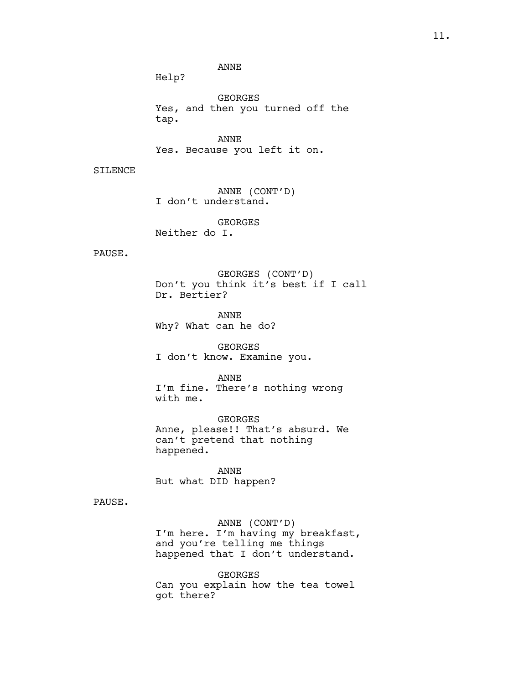ANNE

Help?

GEORGES Yes, and then you turned off the tap.

ANNE Yes. Because you left it on.

SILENCE

ANNE (CONT'D) I don't understand.

GEORGES Neither do I.

PAUSE.

GEORGES (CONT'D) Don't you think it's best if I call Dr. Bertier?

ANNE Why? What can he do?

GEORGES I don't know. Examine you.

ANNE I'm fine. There's nothing wrong with me.

GEORGES Anne, please!! That's absurd. We can't pretend that nothing happened.

ANNE But what DID happen?

PAUSE.

ANNE (CONT'D) I'm here. I'm having my breakfast, and you're telling me things happened that I don't understand.

GEORGES Can you explain how the tea towel got there?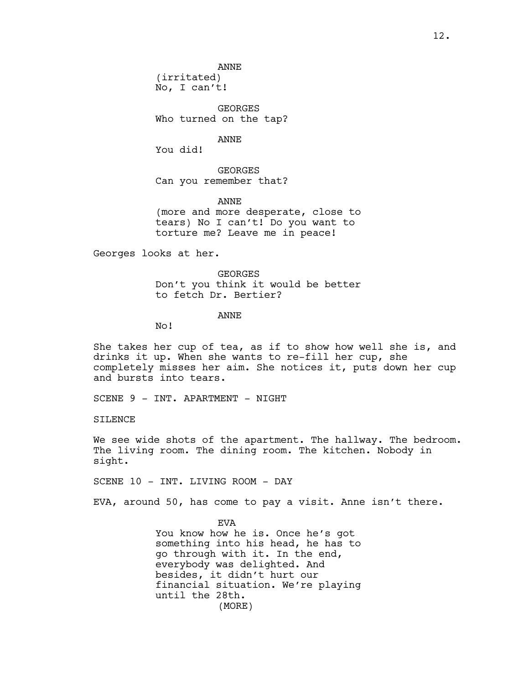ANNE (irritated)

No, I can't!

GEORGES Who turned on the tap?

ANNE

You did!

GEORGES Can you remember that?

ANNE (more and more desperate, close to tears) No I can't! Do you want to torture me? Leave me in peace!

Georges looks at her.

GEORGES Don't you think it would be better to fetch Dr. Bertier?

ANNE

No!

She takes her cup of tea, as if to show how well she is, and drinks it up. When she wants to re-fill her cup, she completely misses her aim. She notices it, puts down her cup and bursts into tears.

SCENE 9 - INT. APARTMENT - NIGHT

SILENCE

We see wide shots of the apartment. The hallway. The bedroom. The living room. The dining room. The kitchen. Nobody in sight.

SCENE 10 - INT. LIVING ROOM - DAY

EVA, around 50, has come to pay a visit. Anne isn't there.

**EVA** You know how he is. Once he's got something into his head, he has to go through with it. In the end, everybody was delighted. And besides, it didn't hurt our financial situation. We're playing until the 28th. (MORE)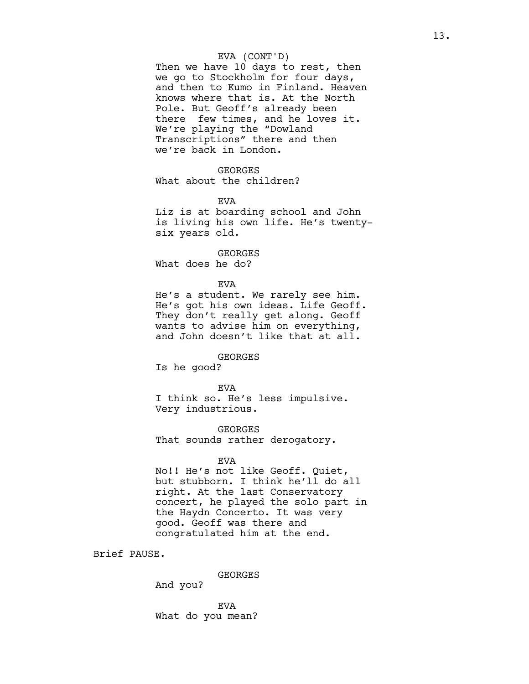## EVA (CONT'D)

Then we have 10 days to rest, then we go to Stockholm for four days, and then to Kumo in Finland. Heaven knows where that is. At the North Pole. But Geoff's already been there few times, and he loves it. We're playing the "Dowland Transcriptions" there and then we're back in London.

## GEORGES

What about the children?

EVA

Liz is at boarding school and John is living his own life. He's twentysix years old.

## GEORGES

What does he do?

#### EVA

He's a student. We rarely see him. He's got his own ideas. Life Geoff. They don't really get along. Geoff wants to advise him on everything, and John doesn't like that at all.

# GEORGES

Is he good?

EVA I think so. He's less impulsive. Very industrious.

GEORGES That sounds rather derogatory.

## EVA

No!! He's not like Geoff. Quiet, but stubborn. I think he'll do all right. At the last Conservatory concert, he played the solo part in the Haydn Concerto. It was very good. Geoff was there and congratulated him at the end.

Brief PAUSE.

GEORGES

And you?

EVA What do you mean?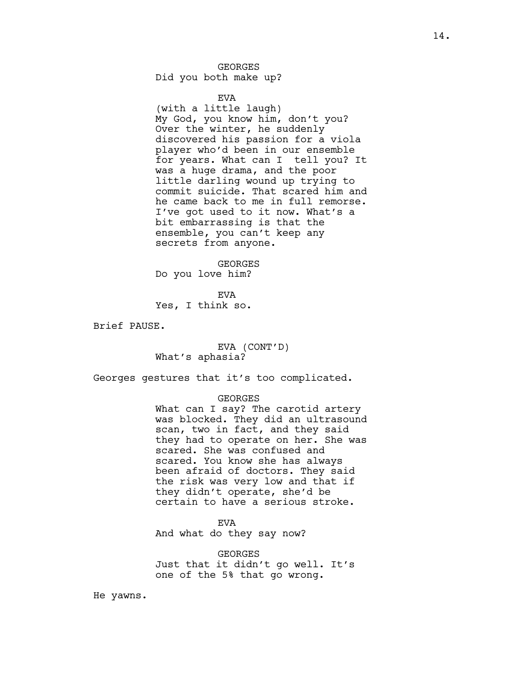# GEORGES

Did you both make up?

#### EVA

(with a little laugh) My God, you know him, don't you? Over the winter, he suddenly discovered his passion for a viola player who'd been in our ensemble for years. What can I tell you? It was a huge drama, and the poor little darling wound up trying to commit suicide. That scared him and he came back to me in full remorse. I've got used to it now. What's a bit embarrassing is that the ensemble, you can't keep any secrets from anyone.

GEORGES Do you love him?

**EVA** Yes, I think so.

Brief PAUSE.

EVA (CONT'D) What's aphasia?

Georges gestures that it's too complicated.

#### GEORGES

What can I say? The carotid artery was blocked. They did an ultrasound scan, two in fact, and they said they had to operate on her. She was scared. She was confused and scared. You know she has always been afraid of doctors. They said the risk was very low and that if they didn't operate, she'd be certain to have a serious stroke.

## **EVA**

And what do they say now?

GEORGES Just that it didn't go well. It's one of the 5% that go wrong.

He yawns.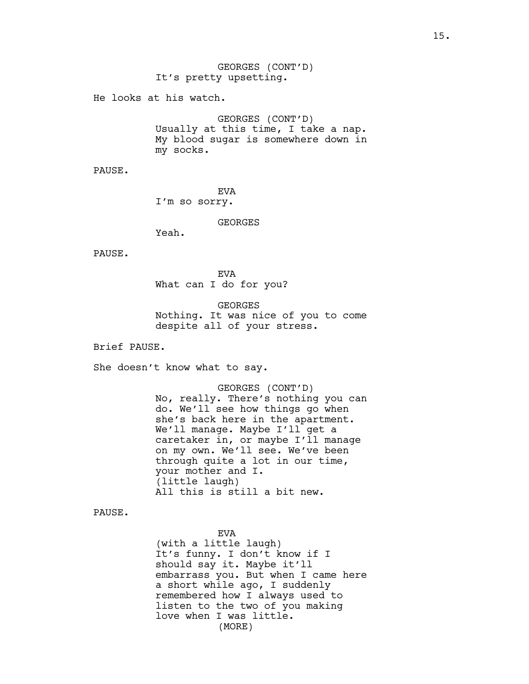He looks at his watch.

GEORGES (CONT'D) Usually at this time, I take a nap. My blood sugar is somewhere down in my socks.

PAUSE.

EVA I'm so sorry.

GEORGES

Yeah.

PAUSE.

EVA What can I do for you?

GEORGES Nothing. It was nice of you to come despite all of your stress.

Brief PAUSE.

She doesn't know what to say.

GEORGES (CONT'D) No, really. There's nothing you can do. We'll see how things go when she's back here in the apartment. We'll manage. Maybe I'll get a caretaker in, or maybe I'll manage on my own. We'll see. We've been through quite a lot in our time, your mother and I. (little laugh) All this is still a bit new.

PAUSE.

EVA (with a little laugh) It's funny. I don't know if I should say it. Maybe it'll embarrass you. But when I came here a short while ago, I suddenly remembered how I always used to listen to the two of you making love when I was little. (MORE)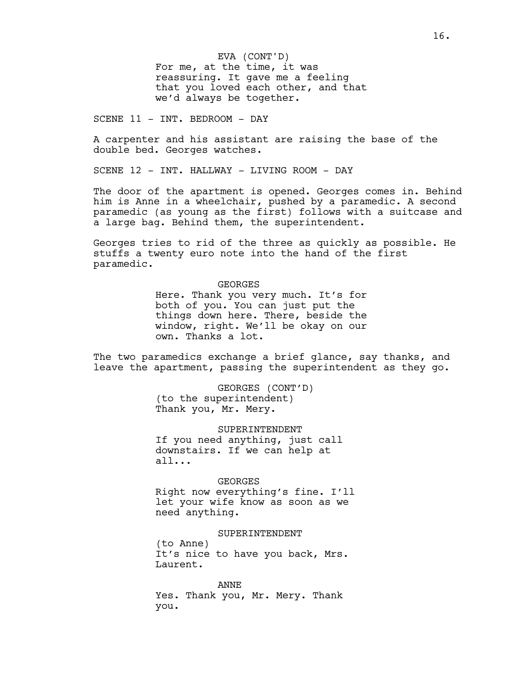EVA (CONT'D)

For me, at the time, it was reassuring. It gave me a feeling that you loved each other, and that we'd always be together.

SCENE 11 - INT. BEDROOM - DAY

A carpenter and his assistant are raising the base of the double bed. Georges watches.

SCENE 12 - INT. HALLWAY - LIVING ROOM - DAY

The door of the apartment is opened. Georges comes in. Behind him is Anne in a wheelchair, pushed by a paramedic. A second paramedic (as young as the first) follows with a suitcase and a large bag. Behind them, the superintendent.

Georges tries to rid of the three as quickly as possible. He stuffs a twenty euro note into the hand of the first paramedic.

GEORGES

Here. Thank you very much. It's for both of you. You can just put the things down here. There, beside the window, right. We'll be okay on our own. Thanks a lot.

The two paramedics exchange a brief glance, say thanks, and leave the apartment, passing the superintendent as they go.

> GEORGES (CONT'D) (to the superintendent) Thank you, Mr. Mery.

SUPERINTENDENT If you need anything, just call downstairs. If we can help at all...

GEORGES Right now everything's fine. I'll let your wife know as soon as we need anything.

SUPERINTENDENT (to Anne) It's nice to have you back, Mrs. Laurent.

ANNE Yes. Thank you, Mr. Mery. Thank you.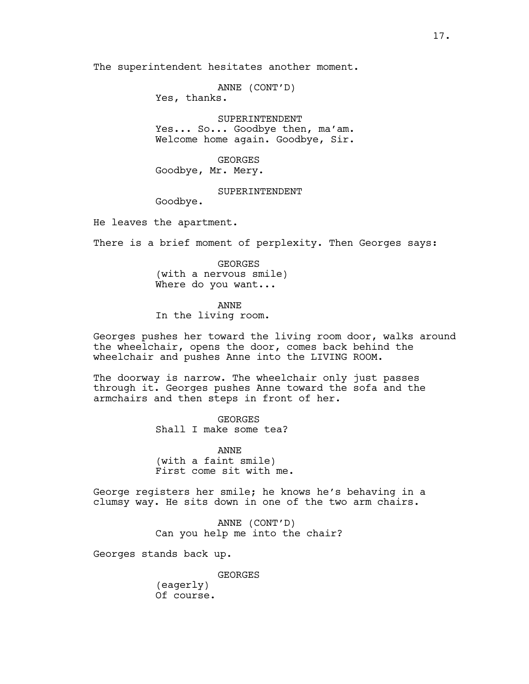The superintendent hesitates another moment.

ANNE (CONT'D)

Yes, thanks.

SUPERINTENDENT Yes... So... Goodbye then, ma'am. Welcome home again. Goodbye, Sir.

GEORGES

Goodbye, Mr. Mery.

## SUPERINTENDENT

Goodbye.

He leaves the apartment.

There is a brief moment of perplexity. Then Georges says:

GEORGES (with a nervous smile) Where do you want...

ANNE

In the living room.

Georges pushes her toward the living room door, walks around the wheelchair, opens the door, comes back behind the wheelchair and pushes Anne into the LIVING ROOM.

The doorway is narrow. The wheelchair only just passes through it. Georges pushes Anne toward the sofa and the armchairs and then steps in front of her.

> GEORGES Shall I make some tea?

ANNE (with a faint smile) First come sit with me.

George registers her smile; he knows he's behaving in a clumsy way. He sits down in one of the two arm chairs.

> ANNE (CONT'D) Can you help me into the chair?

Georges stands back up.

GEORGES (eagerly) Of course.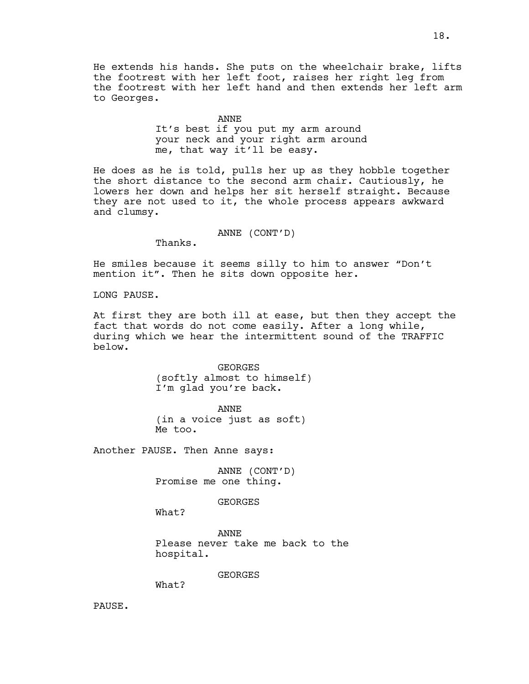He extends his hands. She puts on the wheelchair brake, lifts the footrest with her left foot, raises her right leg from the footrest with her left hand and then extends her left arm to Georges.

ANNE

It's best if you put my arm around your neck and your right arm around me, that way it'll be easy.

He does as he is told, pulls her up as they hobble together the short distance to the second arm chair. Cautiously, he lowers her down and helps her sit herself straight. Because they are not used to it, the whole process appears awkward and clumsy.

ANNE (CONT'D)

Thanks.

He smiles because it seems silly to him to answer "Don't mention it". Then he sits down opposite her.

LONG PAUSE.

At first they are both ill at ease, but then they accept the fact that words do not come easily. After a long while, during which we hear the intermittent sound of the TRAFFIC below.

> GEORGES (softly almost to himself) I'm glad you're back.

ANNE (in a voice just as soft) Me too.

Another PAUSE. Then Anne says:

ANNE (CONT'D) Promise me one thing.

**GEORGES** 

What?

ANNE Please never take me back to the hospital.

GEORGES

What?

PAUSE.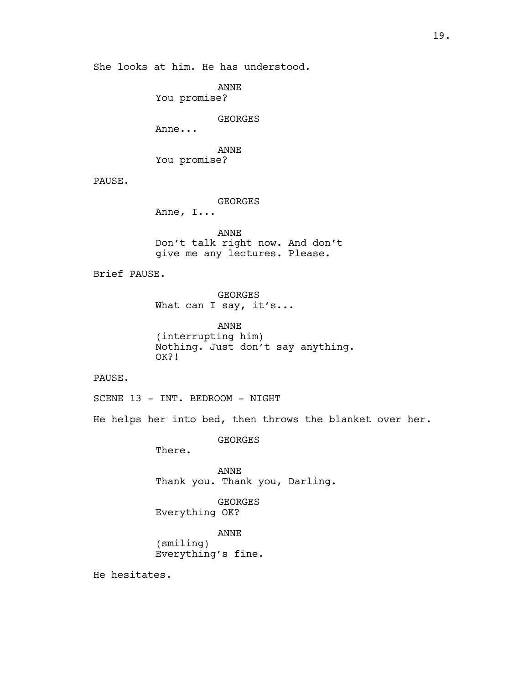She looks at him. He has understood.

ANNE

You promise?

GEORGES

Anne...

ANNE You promise?

PAUSE.

GEORGES

Anne, I...

ANNE Don't talk right now. And don't give me any lectures. Please.

Brief PAUSE.

GEORGES What can I say, it's...

ANNE (interrupting him) Nothing. Just don't say anything. OK?!

PAUSE.

SCENE 13 - INT. BEDROOM - NIGHT

He helps her into bed, then throws the blanket over her.

GEORGES

There.

ANNE Thank you. Thank you, Darling.

GEORGES Everything OK?

ANNE (smiling) Everything's fine.

He hesitates.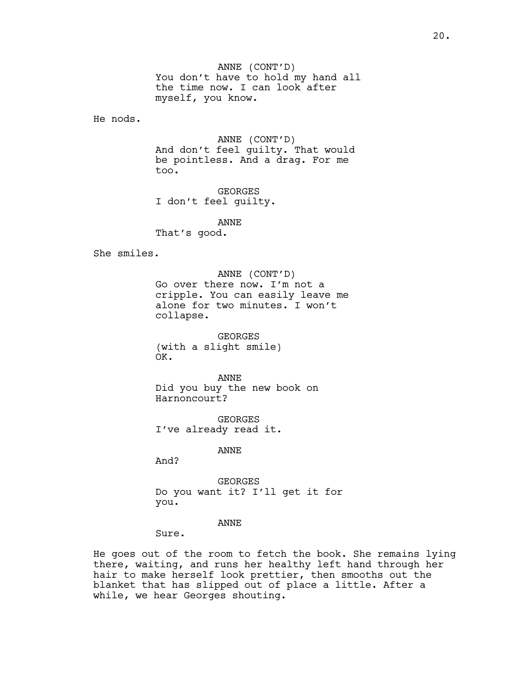ANNE (CONT'D) You don't have to hold my hand all the time now. I can look after myself, you know.

He nods.

ANNE (CONT'D) And don't feel guilty. That would be pointless. And a drag. For me too.

GEORGES I don't feel guilty.

ANNE

That's good.

She smiles.

ANNE (CONT'D) Go over there now. I'm not a cripple. You can easily leave me alone for two minutes. I won't collapse.

GEORGES (with a slight smile) OK.

ANNE Did you buy the new book on Harnoncourt?

GEORGES I've already read it.

ANNE

And?

GEORGES Do you want it? I'll get it for you.

ANNE

Sure.

He goes out of the room to fetch the book. She remains lying there, waiting, and runs her healthy left hand through her hair to make herself look prettier, then smooths out the blanket that has slipped out of place a little. After a while, we hear Georges shouting.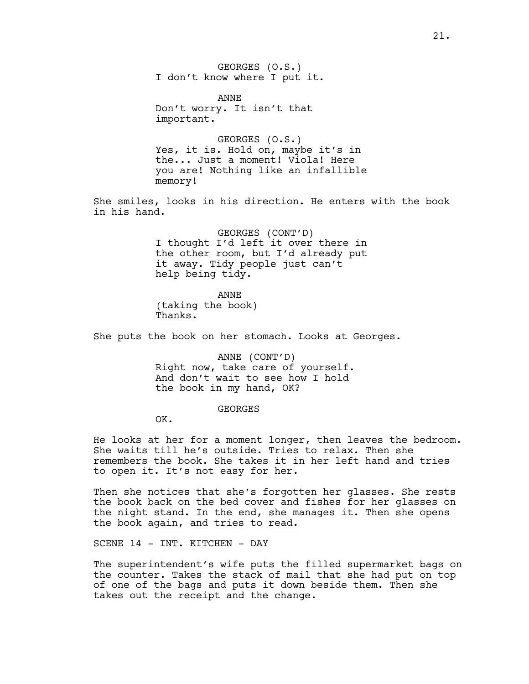GEORGES (O.S.) I don't know where I put it.

ANNE Don't worry. It isn't that important.

GEORGES (O.S.) Yes, it is. Hold on, maybe it's in the... Just a moment! Viola! Here you are! Nothing like an infallible memory!

She smiles, looks in his direction. He enters with the book in his hand.

> GEORGES (CONT'D) I thought I'd left it over there in the other room, but I'd already put it away. Tidy people just can't help being tidy.

ANNE (taking the book) Thanks.

She puts the book on her stomach. Looks at Georges.

ANNE (CONT'D) Right now, take care of yourself. And don't wait to see how I hold the book in my hand, OK?

GEORGES

OK.

He looks at her for a moment longer, then leaves the bedroom. She waits till he's outside. Tries to relax. Then she remembers the book. She takes it in her left hand and tries to open it. It's not easy for her.

Then she notices that she's forgotten her glasses. She rests the book back on the bed cover and fishes for her glasses on the night stand. In the end, she manages it. Then she opens the book again, and tries to read.

SCENE 14 - INT. KITCHEN - DAY

The superintendent's wife puts the filled supermarket bags on the counter. Takes the stack of mail that she had put on top of one of the bags and puts it down beside them. Then she takes out the receipt and the change.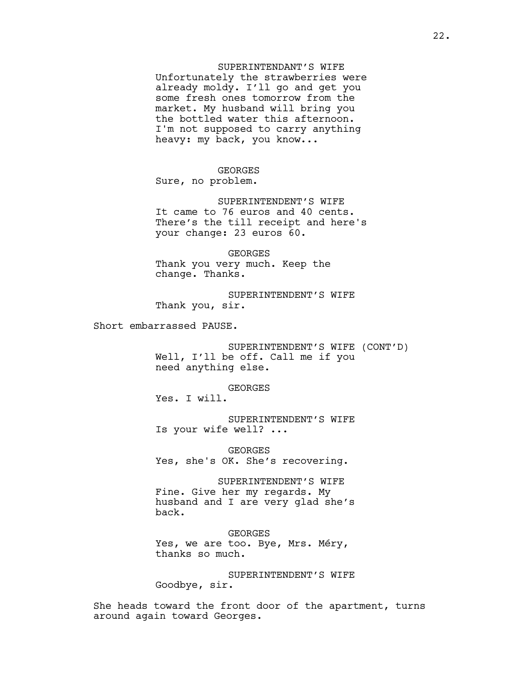# SUPERINTENDANT'S WIFE

Unfortunately the strawberries were already moldy. I'll go and get you some fresh ones tomorrow from the market. My husband will bring you the bottled water this afternoon. I'm not supposed to carry anything heavy: my back, you know...

GEORGES Sure, no problem.

SUPERINTENDENT'S WIFE It came to 76 euros and 40 cents. There's the till receipt and here's your change: 23 euros 60.

GEORGES Thank you very much. Keep the change. Thanks.

SUPERINTENDENT'S WIFE Thank you, sir.

Short embarrassed PAUSE.

SUPERINTENDENT'S WIFE (CONT'D) Well, I'll be off. Call me if you need anything else.

GEORGES

Yes. I will.

SUPERINTENDENT'S WIFE Is your wife well? ...

GEORGES Yes, she's OK. She's recovering.

SUPERINTENDENT'S WIFE Fine. Give her my regards. My husband and I are very glad she's back.

GEORGES Yes, we are too. Bye, Mrs. Méry, thanks so much.

SUPERINTENDENT'S WIFE Goodbye, sir.

She heads toward the front door of the apartment, turns around again toward Georges.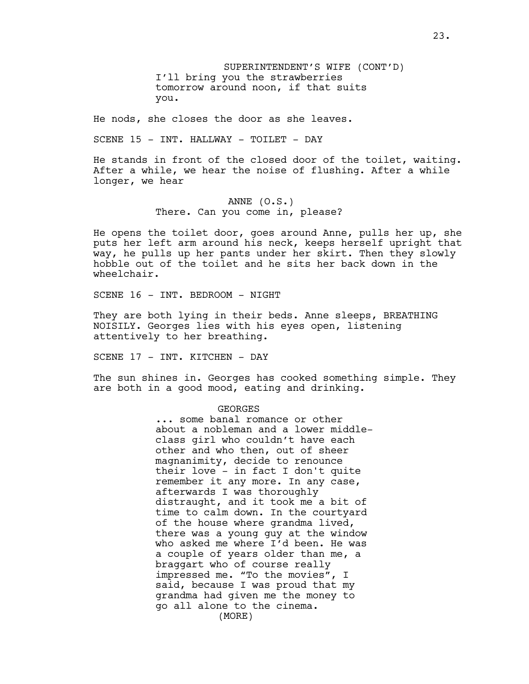SUPERINTENDENT'S WIFE (CONT'D) I'll bring you the strawberries tomorrow around noon, if that suits you.

He nods, she closes the door as she leaves.

SCENE 15 - INT. HALLWAY - TOILET - DAY

He stands in front of the closed door of the toilet, waiting. After a while, we hear the noise of flushing. After a while longer, we hear

# ANNE (O.S.) There. Can you come in, please?

He opens the toilet door, goes around Anne, pulls her up, she puts her left arm around his neck, keeps herself upright that way, he pulls up her pants under her skirt. Then they slowly hobble out of the toilet and he sits her back down in the wheelchair.

SCENE 16 - INT. BEDROOM - NIGHT

They are both lying in their beds. Anne sleeps, BREATHING NOISILY. Georges lies with his eyes open, listening attentively to her breathing.

SCENE 17 - INT. KITCHEN - DAY

The sun shines in. Georges has cooked something simple. They are both in a good mood, eating and drinking.

# GEORGES

... some banal romance or other about a nobleman and a lower middleclass girl who couldn't have each other and who then, out of sheer magnanimity, decide to renounce their love - in fact I don't quite remember it any more. In any case, afterwards I was thoroughly distraught, and it took me a bit of time to calm down. In the courtyard of the house where grandma lived, there was a young guy at the window who asked me where I'd been. He was a couple of years older than me, a braggart who of course really impressed me. "To the movies", I said, because I was proud that my grandma had given me the money to go all alone to the cinema. (MORE)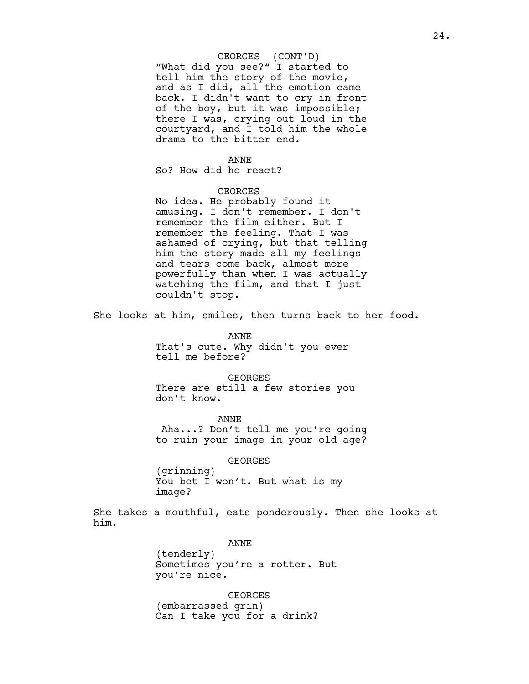## GEORGES (CONT'D)

"What did you see?" I started to tell him the story of the movie, and as I did, all the emotion came back. I didn't want to cry in front of the boy, but it was impossible; there I was, crying out loud in the courtyard, and I told him the whole drama to the bitter end.

#### ANNE

So? How did he react?

## GEORGES

No idea. He probably found it amusing. I don't remember. I don't remember the film either. But I remember the feeling. That I was ashamed of crying, but that telling him the story made all my feelings and tears come back, almost more powerfully than when I was actually watching the film, and that I just couldn't stop.

She looks at him, smiles, then turns back to her food.

ANNE That's cute. Why didn't you ever tell me before?

GEORGES There are still a few stories you don't know.

ANNE Aha...? Don't tell me you're going to ruin your image in your old age?

GEORGES

(grinning) You bet I won't. But what is my image?

She takes a mouthful, eats ponderously. Then she looks at him.

ANNE

(tenderly) Sometimes you're a rotter. But you're nice.

GEORGES (embarrassed grin) Can I take you for a drink?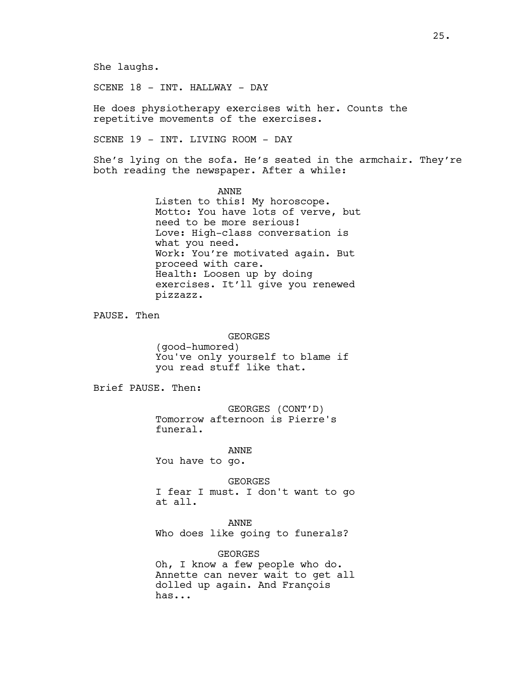She laughs.

SCENE 18 - INT. HALLWAY - DAY

He does physiotherapy exercises with her. Counts the repetitive movements of the exercises.

SCENE 19 - INT. LIVING ROOM - DAY

She's lying on the sofa. He's seated in the armchair. They're both reading the newspaper. After a while:

> ANNE Listen to this! My horoscope. Motto: You have lots of verve, but need to be more serious! Love: High-class conversation is what you need. Work: You're motivated again. But proceed with care. Health: Loosen up by doing exercises. It'll give you renewed pizzazz.

PAUSE. Then

GEORGES (good-humored) You've only yourself to blame if you read stuff like that.

Brief PAUSE. Then:

GEORGES (CONT'D) Tomorrow afternoon is Pierre's funeral.

ANNE You have to go.

GEORGES I fear I must. I don't want to go at all.

ANNE Who does like going to funerals?

GEORGES Oh, I know a few people who do. Annette can never wait to get all dolled up again. And François has...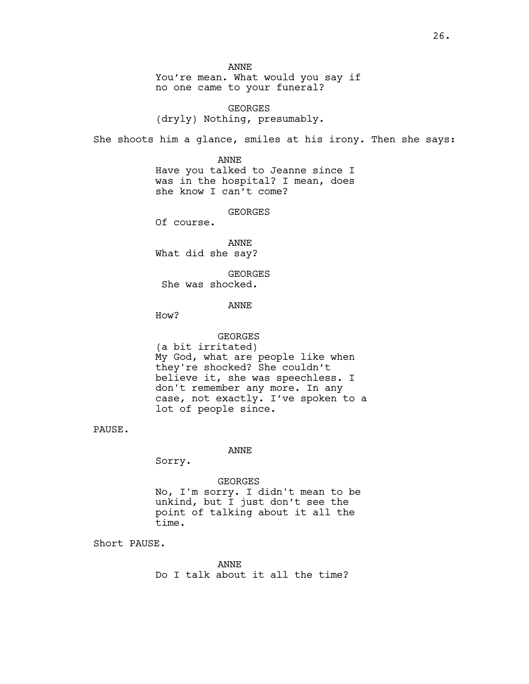ANNE You're mean. What would you say if no one came to your funeral?

GEORGES (dryly) Nothing, presumably.

She shoots him a glance, smiles at his irony. Then she says:

ANNE Have you talked to Jeanne since I was in the hospital? I mean, does she know I can't come?

GEORGES

Of course.

ANNE What did she say?

**GEORGES** She was shocked.

## ANNE

How?

GEORGES (a bit irritated) My God, what are people like when they're shocked? She couldn't believe it, she was speechless. I don't remember any more. In any case, not exactly. I've spoken to a lot of people since.

PAUSE.

### ANNE

Sorry.

#### GEORGES

No, I'm sorry. I didn't mean to be unkind, but I just don't see the point of talking about it all the time.

Short PAUSE.

ANNE Do I talk about it all the time?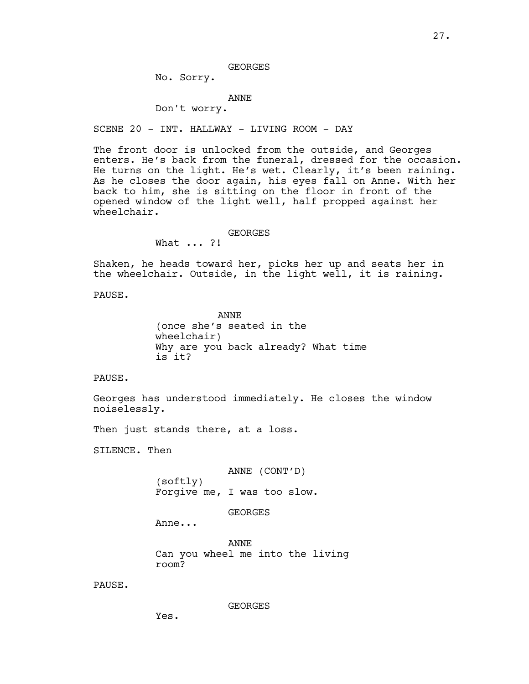GEORGES

No. Sorry.

#### ANNE

Don't worry.

SCENE 20 - INT. HALLWAY - LIVING ROOM - DAY

The front door is unlocked from the outside, and Georges enters. He's back from the funeral, dressed for the occasion. He turns on the light. He's wet. Clearly, it's been raining. As he closes the door again, his eyes fall on Anne. With her back to him, she is sitting on the floor in front of the opened window of the light well, half propped against her wheelchair.

GEORGES

What ... ?!

Shaken, he heads toward her, picks her up and seats her in the wheelchair. Outside, in the light well, it is raining.

PAUSE.

ANNE (once she's seated in the wheelchair) Why are you back already? What time is it?

PAUSE.

Georges has understood immediately. He closes the window noiselessly.

Then just stands there, at a loss.

SILENCE. Then

ANNE (CONT'D) (softly) Forgive me, I was too slow.

GEORGES

Anne...

ANNE Can you wheel me into the living room?

PAUSE.

GEORGES

Yes.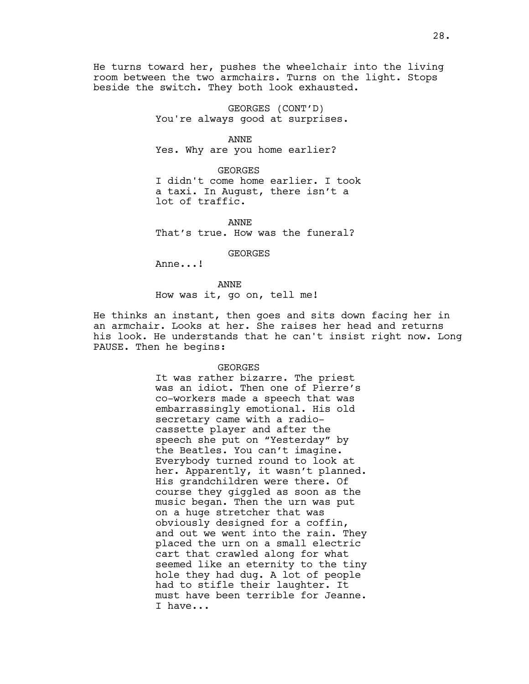He turns toward her, pushes the wheelchair into the living room between the two armchairs. Turns on the light. Stops beside the switch. They both look exhausted.

> GEORGES (CONT'D) You're always good at surprises.

> > ANNE

Yes. Why are you home earlier?

GEORGES

I didn't come home earlier. I took a taxi. In August, there isn't a lot of traffic.

ANNE That's true. How was the funeral?

GEORGES

Anne...!

ANNE How was it, go on, tell me!

He thinks an instant, then goes and sits down facing her in an armchair. Looks at her. She raises her head and returns his look. He understands that he can't insist right now. Long PAUSE. Then he begins:

#### GEORGES

It was rather bizarre. The priest was an idiot. Then one of Pierre's co-workers made a speech that was embarrassingly emotional. His old secretary came with a radiocassette player and after the speech she put on "Yesterday" by the Beatles. You can't imagine. Everybody turned round to look at her. Apparently, it wasn't planned. His grandchildren were there. Of course they giggled as soon as the music began. Then the urn was put on a huge stretcher that was obviously designed for a coffin, and out we went into the rain. They placed the urn on a small electric cart that crawled along for what seemed like an eternity to the tiny hole they had dug. A lot of people had to stifle their laughter. It must have been terrible for Jeanne. I have...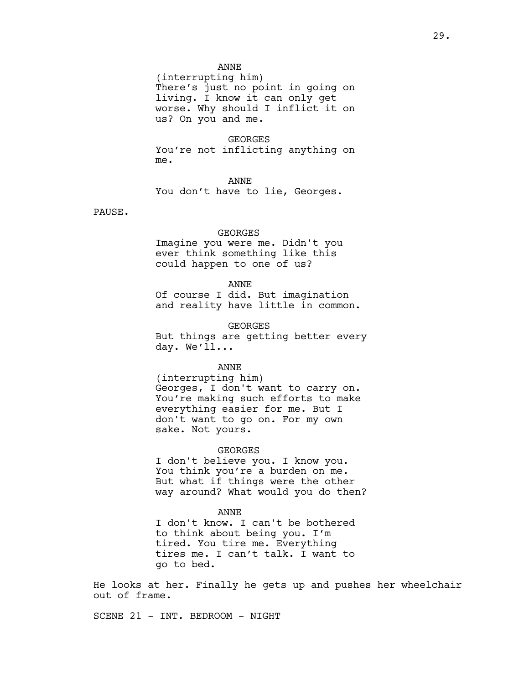# ANNE

(interrupting him) There's just no point in going on living. I know it can only get worse. Why should I inflict it on us? On you and me.

GEORGES You're not inflicting anything on me.

ANNE

You don't have to lie, Georges.

PAUSE.

## GEORGES

Imagine you were me. Didn't you ever think something like this could happen to one of us?

#### ANNE

Of course I did. But imagination and reality have little in common.

GEORGES

But things are getting better every day. We'll...

ANNE

(interrupting him) Georges, I don't want to carry on. You're making such efforts to make everything easier for me. But I don't want to go on. For my own sake. Not yours.

## GEORGES

I don't believe you. I know you. You think you're a burden on me. But what if things were the other way around? What would you do then?

### ANNE

I don't know. I can't be bothered to think about being you. I'm tired. You tire me. Everything tires me. I can't talk. I want to go to bed.

He looks at her. Finally he gets up and pushes her wheelchair out of frame.

SCENE 21 - INT. BEDROOM - NIGHT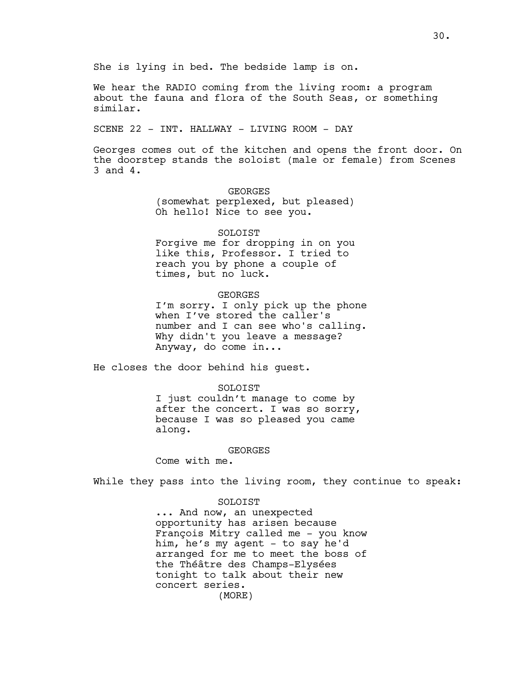We hear the RADIO coming from the living room: a program about the fauna and flora of the South Seas, or something similar.

SCENE 22 - INT. HALLWAY - LIVING ROOM - DAY

Georges comes out of the kitchen and opens the front door. On the doorstep stands the soloist (male or female) from Scenes 3 and 4.

> GEORGES (somewhat perplexed, but pleased) Oh hello! Nice to see you.

## SOLOIST

Forgive me for dropping in on you like this, Professor. I tried to reach you by phone a couple of times, but no luck.

# GEORGES

I'm sorry. I only pick up the phone when I've stored the caller's number and I can see who's calling. Why didn't you leave a message? Anyway, do come in...

He closes the door behind his guest.

## SOLOIST

I just couldn't manage to come by after the concert. I was so sorry, because I was so pleased you came along.

### GEORGES

Come with me.

While they pass into the living room, they continue to speak:

### SOLOIST

... And now, an unexpected opportunity has arisen because François Mitry called me - you know him, he's my agent - to say he'd arranged for me to meet the boss of the Théâtre des Champs-Elysées tonight to talk about their new concert series. (MORE)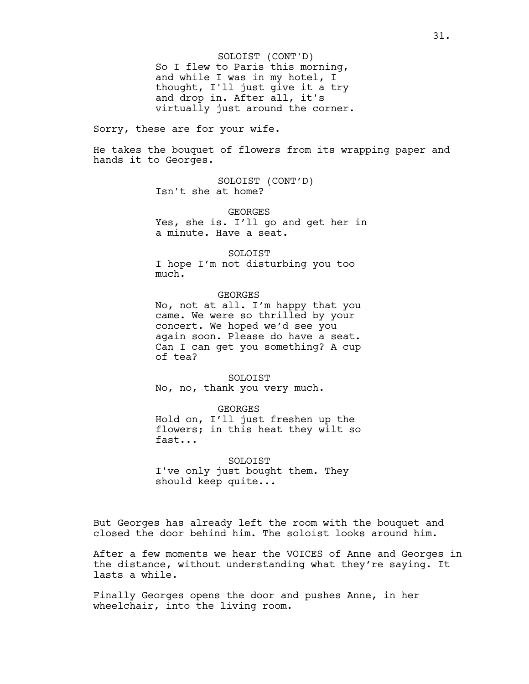So I flew to Paris this morning, and while I was in my hotel, I thought, I'll just give it a try and drop in. After all, it's virtually just around the corner. SOLOIST (CONT'D)

Sorry, these are for your wife.

He takes the bouquet of flowers from its wrapping paper and hands it to Georges.

> SOLOIST (CONT'D) Isn't she at home?

GEORGES Yes, she is. I'll go and get her in a minute. Have a seat.

SOLOIST I hope I'm not disturbing you too much.

GEORGES No, not at all. I'm happy that you came. We were so thrilled by your concert. We hoped we'd see you again soon. Please do have a seat. Can I can get you something? A cup

of tea? SOLOIST

No, no, thank you very much.

GEORGES Hold on, I'll just freshen up the flowers; in this heat they wilt so fast...

SOLOIST I've only just bought them. They should keep quite...

But Georges has already left the room with the bouquet and closed the door behind him. The soloist looks around him.

After a few moments we hear the VOICES of Anne and Georges in the distance, without understanding what they're saying. It lasts a while.

Finally Georges opens the door and pushes Anne, in her wheelchair, into the living room.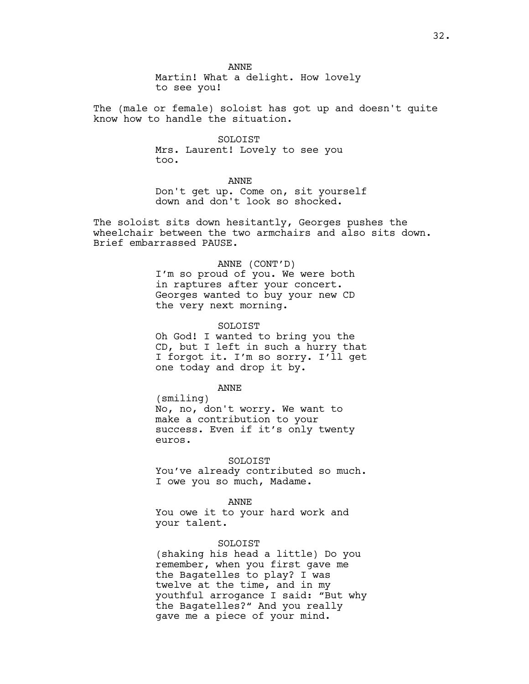ANNE

Martin! What a delight. How lovely to see you!

The (male or female) soloist has got up and doesn't quite know how to handle the situation.

> SOLOIST Mrs. Laurent! Lovely to see you too.

> > ANNE

Don't get up. Come on, sit yourself down and don't look so shocked.

The soloist sits down hesitantly, Georges pushes the wheelchair between the two armchairs and also sits down. Brief embarrassed PAUSE.

### ANNE (CONT'D)

I'm so proud of you. We were both in raptures after your concert. Georges wanted to buy your new CD the very next morning.

### SOLOIST

Oh God! I wanted to bring you the CD, but I left in such a hurry that I forgot it. I'm so sorry. I'll get one today and drop it by.

ANNE

(smiling) No, no, don't worry. We want to make a contribution to your success. Even if it's only twenty euros.

# SOLOIST

You've already contributed so much. I owe you so much, Madame.

ANNE

You owe it to your hard work and your talent.

## SOLOIST

(shaking his head a little) Do you remember, when you first gave me the Bagatelles to play? I was twelve at the time, and in my youthful arrogance I said: "But why the Bagatelles?" And you really gave me a piece of your mind.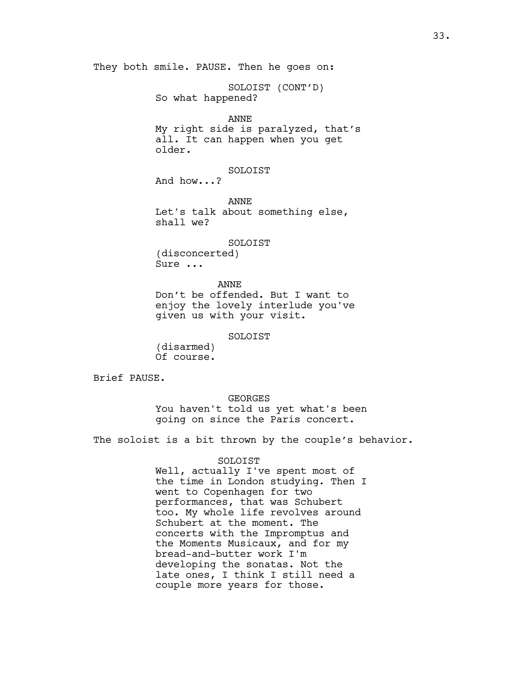They both smile. PAUSE. Then he goes on:

SOLOIST (CONT'D) So what happened?

### ANNE

My right side is paralyzed, that's all. It can happen when you get older.

SOLOIST And how...?

ANNE Let's talk about something else, shall we?

SOLOIST

(disconcerted) Sure ...

ANNE Don't be offended. But I want to enjoy the lovely interlude you've given us with your visit.

SOLOIST

(disarmed) Of course.

Brief PAUSE.

## GEORGES

You haven't told us yet what's been going on since the Paris concert.

The soloist is a bit thrown by the couple's behavior.

# SOLOIST

Well, actually I've spent most of the time in London studying. Then I went to Copenhagen for two performances, that was Schubert too. My whole life revolves around Schubert at the moment. The concerts with the Impromptus and the Moments Musicaux, and for my bread-and-butter work I'm developing the sonatas. Not the late ones, I think I still need a couple more years for those.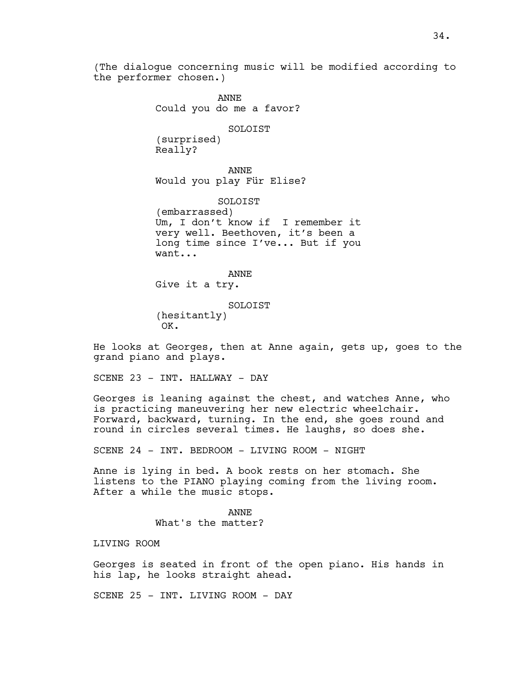(The dialogue concerning music will be modified according to the performer chosen.)

> ANNE Could you do me a favor?

#### SOLOIST

(surprised) Really?

ANNE Would you play Für Elise?

SOLOIST (embarrassed) Um, I don't know if I remember it very well. Beethoven, it's been a long time since I've... But if you want...

ANNE Give it a try.

SOLOIST (hesitantly) OK.

He looks at Georges, then at Anne again, gets up, goes to the grand piano and plays.

SCENE 23 - INT. HALLWAY - DAY

Georges is leaning against the chest, and watches Anne, who is practicing maneuvering her new electric wheelchair. Forward, backward, turning. In the end, she goes round and round in circles several times. He laughs, so does she.

SCENE 24 - INT. BEDROOM - LIVING ROOM - NIGHT

Anne is lying in bed. A book rests on her stomach. She listens to the PIANO playing coming from the living room. After a while the music stops.

> ANNE What's the matter?

LIVING ROOM

Georges is seated in front of the open piano. His hands in his lap, he looks straight ahead.

SCENE 25 - INT. LIVING ROOM - DAY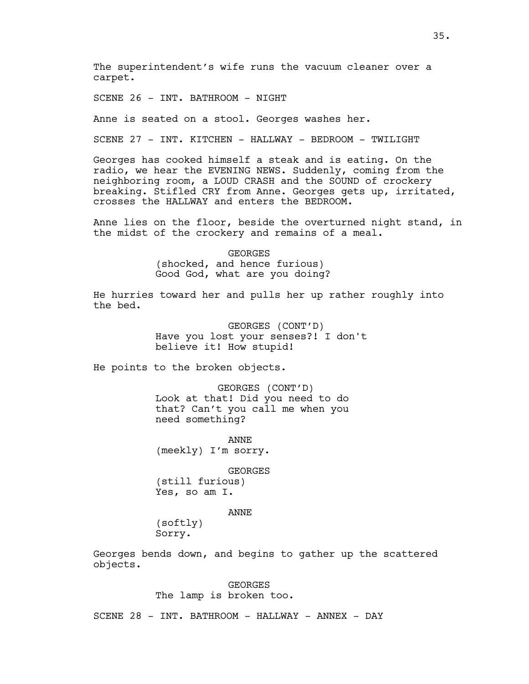The superintendent's wife runs the vacuum cleaner over a carpet.

SCENE 26 - INT. BATHROOM - NIGHT

Anne is seated on a stool. Georges washes her.

SCENE 27 - INT. KITCHEN - HALLWAY - BEDROOM - TWILIGHT

Georges has cooked himself a steak and is eating. On the radio, we hear the EVENING NEWS. Suddenly, coming from the neighboring room, a LOUD CRASH and the SOUND of crockery breaking. Stifled CRY from Anne. Georges gets up, irritated, crosses the HALLWAY and enters the BEDROOM.

Anne lies on the floor, beside the overturned night stand, in the midst of the crockery and remains of a meal.

> GEORGES (shocked, and hence furious) Good God, what are you doing?

He hurries toward her and pulls her up rather roughly into the bed.

> GEORGES (CONT'D) Have you lost your senses?! I don't believe it! How stupid!

He points to the broken objects.

GEORGES (CONT'D) Look at that! Did you need to do that? Can't you call me when you need something?

ANNE (meekly) I'm sorry.

GEORGES

(still furious) Yes, so am I.

# ANNE

(softly) Sorry.

Georges bends down, and begins to gather up the scattered objects.

> GEORGES The lamp is broken too.

SCENE 28 - INT. BATHROOM - HALLWAY - ANNEX - DAY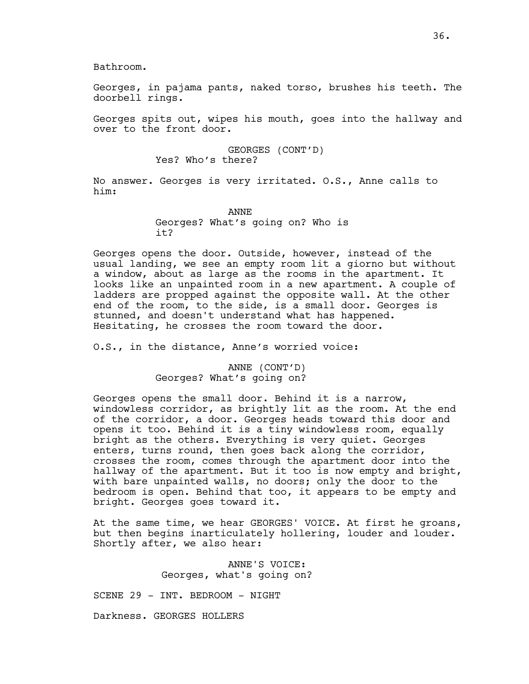Bathroom.

Georges, in pajama pants, naked torso, brushes his teeth. The doorbell rings.

Georges spits out, wipes his mouth, goes into the hallway and over to the front door.

> GEORGES (CONT'D) Yes? Who's there?

No answer. Georges is very irritated. O.S., Anne calls to him:

> ANNE Georges? What's going on? Who is it?

Georges opens the door. Outside, however, instead of the usual landing, we see an empty room lit a giorno but without a window, about as large as the rooms in the apartment. It looks like an unpainted room in a new apartment. A couple of ladders are propped against the opposite wall. At the other end of the room, to the side, is a small door. Georges is stunned, and doesn't understand what has happened. Hesitating, he crosses the room toward the door.

O.S., in the distance, Anne's worried voice:

ANNE (CONT'D) Georges? What's going on?

Georges opens the small door. Behind it is a narrow, windowless corridor, as brightly lit as the room. At the end of the corridor, a door. Georges heads toward this door and opens it too. Behind it is a tiny windowless room, equally bright as the others. Everything is very quiet. Georges enters, turns round, then goes back along the corridor, crosses the room, comes through the apartment door into the hallway of the apartment. But it too is now empty and bright, with bare unpainted walls, no doors; only the door to the bedroom is open. Behind that too, it appears to be empty and bright. Georges goes toward it.

At the same time, we hear GEORGES' VOICE. At first he groans, but then begins inarticulately hollering, louder and louder. Shortly after, we also hear:

> ANNE'S VOICE: Georges, what's going on?

SCENE 29 - INT. BEDROOM - NIGHT

Darkness. GEORGES HOLLERS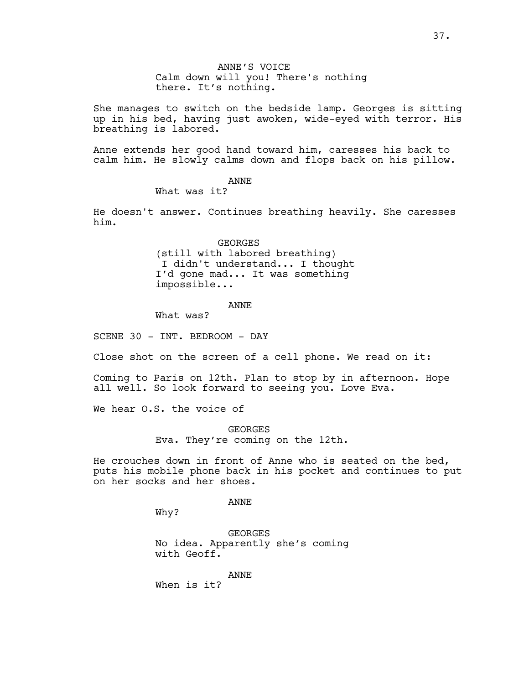ANNE'S VOICE Calm down will you! There's nothing there. It's nothing.

She manages to switch on the bedside lamp. Georges is sitting up in his bed, having just awoken, wide-eyed with terror. His breathing is labored.

Anne extends her good hand toward him, caresses his back to calm him. He slowly calms down and flops back on his pillow.

## ANNE

What was it?

He doesn't answer. Continues breathing heavily. She caresses him.

> GEORGES (still with labored breathing) I didn't understand... I thought I'd gone mad... It was something impossible...

### ANNE

What was?

SCENE 30 - INT. BEDROOM - DAY

Close shot on the screen of a cell phone. We read on it:

Coming to Paris on 12th. Plan to stop by in afternoon. Hope all well. So look forward to seeing you. Love Eva.

We hear O.S. the voice of

**GEORGES** Eva. They're coming on the 12th.

He crouches down in front of Anne who is seated on the bed, puts his mobile phone back in his pocket and continues to put on her socks and her shoes.

ANNE

Why?

GEORGES No idea. Apparently she's coming with Geoff.

ANNE

When is it?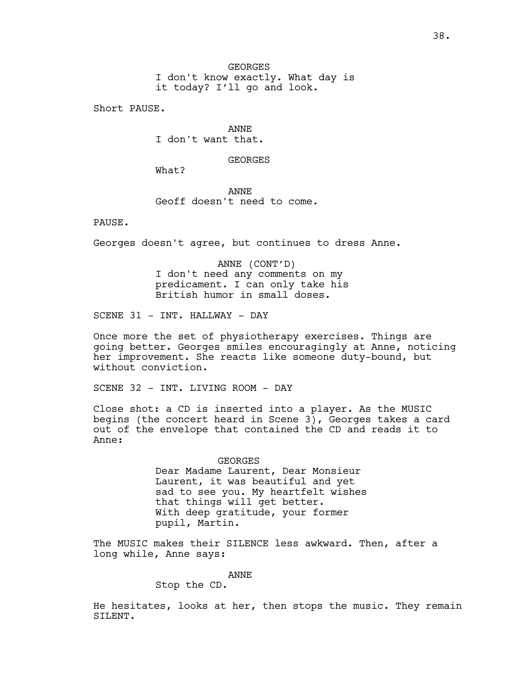GEORGES I don't know exactly. What day is it today? I'll go and look.

Short PAUSE.

ANNE I don't want that.

**GEORGES** 

What?

ANNE Geoff doesn't need to come.

PAUSE.

Georges doesn't agree, but continues to dress Anne.

ANNE (CONT'D) I don't need any comments on my predicament. I can only take his British humor in small doses.

SCENE 31 - INT. HALLWAY - DAY

Once more the set of physiotherapy exercises. Things are going better. Georges smiles encouragingly at Anne, noticing her improvement. She reacts like someone duty-bound, but without conviction.

SCENE 32 - INT. LIVING ROOM - DAY

Close shot: a CD is inserted into a player. As the MUSIC begins (the concert heard in Scene 3), Georges takes a card out of the envelope that contained the CD and reads it to Anne:

> GEORGES Dear Madame Laurent, Dear Monsieur Laurent, it was beautiful and yet sad to see you. My heartfelt wishes that things will get better. With deep gratitude, your former pupil, Martin.

The MUSIC makes their SILENCE less awkward. Then, after a long while, Anne says:

ANNE

Stop the CD.

He hesitates, looks at her, then stops the music. They remain SILENT.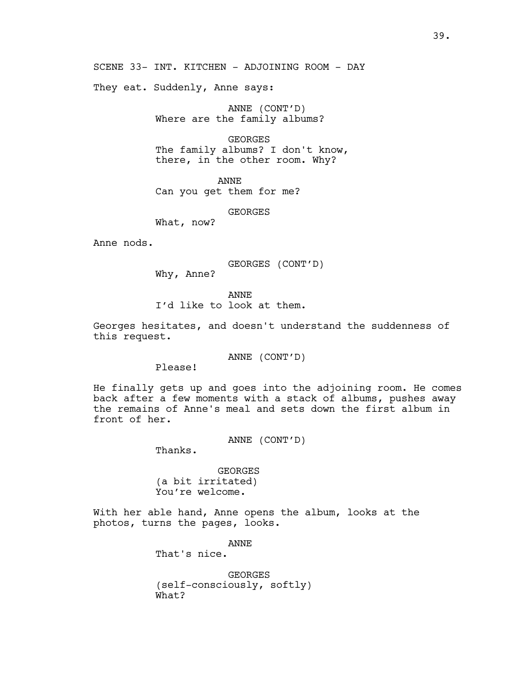SCENE 33- INT. KITCHEN - ADJOINING ROOM - DAY

They eat. Suddenly, Anne says:

ANNE (CONT'D) Where are the family albums?

GEORGES The family albums? I don't know, there, in the other room. Why?

ANNE Can you get them for me?

GEORGES

What, now?

Anne nods.

GEORGES (CONT'D)

Why, Anne?

ANNE

I'd like to look at them.

Georges hesitates, and doesn't understand the suddenness of this request.

ANNE (CONT'D)

Please!

He finally gets up and goes into the adjoining room. He comes back after a few moments with a stack of albums, pushes away the remains of Anne's meal and sets down the first album in front of her.

ANNE (CONT'D)

Thanks.

GEORGES (a bit irritated) You're welcome.

With her able hand, Anne opens the album, looks at the photos, turns the pages, looks.

> ANNE That's nice. GEORGES

(self-consciously, softly) What?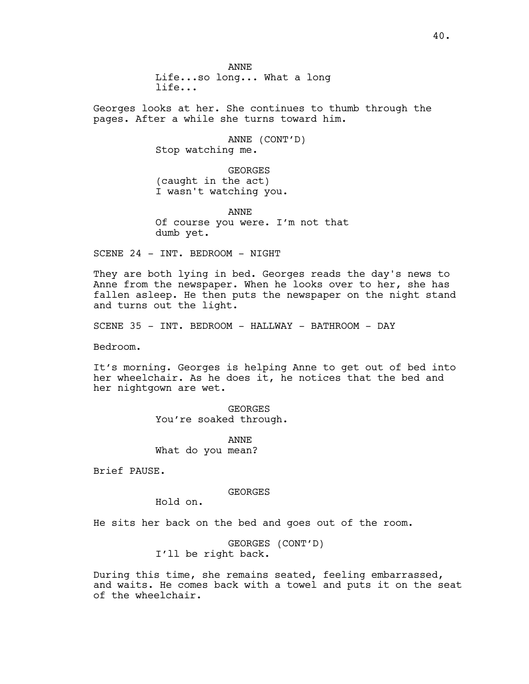ANNE Life...so long... What a long life...

Georges looks at her. She continues to thumb through the pages. After a while she turns toward him.

> ANNE (CONT'D) Stop watching me.

GEORGES (caught in the act) I wasn't watching you.

ANNE Of course you were. I'm not that dumb yet.

SCENE 24 - INT. BEDROOM - NIGHT

They are both lying in bed. Georges reads the day's news to Anne from the newspaper. When he looks over to her, she has fallen asleep. He then puts the newspaper on the night stand and turns out the light.

SCENE 35 - INT. BEDROOM - HALLWAY - BATHROOM - DAY

Bedroom.

It's morning. Georges is helping Anne to get out of bed into her wheelchair. As he does it, he notices that the bed and her nightgown are wet.

> GEORGES You're soaked through.

ANNE What do you mean?

Brief PAUSE.

GEORGES

Hold on.

He sits her back on the bed and goes out of the room.

GEORGES (CONT'D) I'll be right back.

During this time, she remains seated, feeling embarrassed, and waits. He comes back with a towel and puts it on the seat of the wheelchair.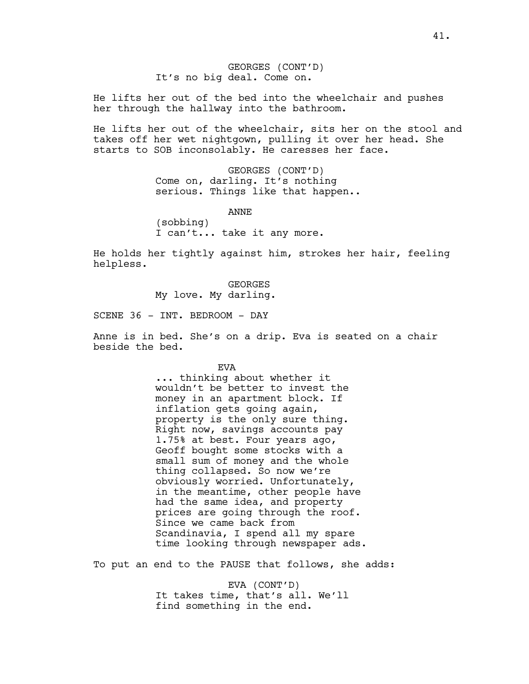He lifts her out of the bed into the wheelchair and pushes her through the hallway into the bathroom.

He lifts her out of the wheelchair, sits her on the stool and takes off her wet nightgown, pulling it over her head. She starts to SOB inconsolably. He caresses her face.

> GEORGES (CONT'D) Come on, darling. It's nothing serious. Things like that happen..

ANNE (sobbing) I can't... take it any more.

He holds her tightly against him, strokes her hair, feeling helpless.

> GEORGES My love. My darling.

SCENE 36 - INT. BEDROOM - DAY

Anne is in bed. She's on a drip. Eva is seated on a chair beside the bed.

EVA

... thinking about whether it wouldn't be better to invest the money in an apartment block. If inflation gets going again, property is the only sure thing. Right now, savings accounts pay 1.75% at best. Four years ago, Geoff bought some stocks with a small sum of money and the whole thing collapsed. So now we're obviously worried. Unfortunately, in the meantime, other people have had the same idea, and property prices are going through the roof. Since we came back from Scandinavia, I spend all my spare time looking through newspaper ads.

To put an end to the PAUSE that follows, she adds:

EVA (CONT'D) It takes time, that's all. We'll find something in the end.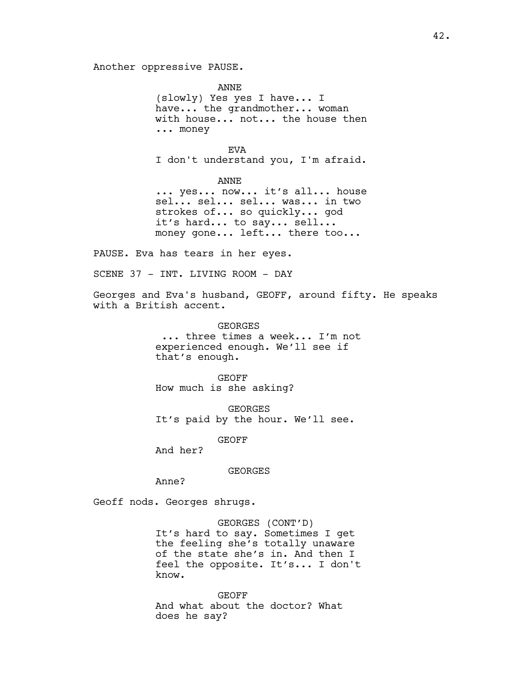Another oppressive PAUSE.

ANNE (slowly) Yes yes I have... I have... the grandmother... woman with house... not... the house then ... money

EVA I don't understand you, I'm afraid.

ANNE

... yes... now... it's all... house sel... sel... sel... was... in two strokes of... so quickly... god it's hard... to say... sell... money gone... left... there too...

PAUSE. Eva has tears in her eyes.

SCENE 37 - INT. LIVING ROOM - DAY

Georges and Eva's husband, GEOFF, around fifty. He speaks with a British accent.

> **GEORGES**  ... three times a week... I'm not experienced enough. We'll see if that's enough.

GEOFF How much is she asking?

GEORGES It's paid by the hour. We'll see.

GEOFF

And her?

GEORGES

Anne?

Geoff nods. Georges shrugs.

GEORGES (CONT'D) It's hard to say. Sometimes I get the feeling she's totally unaware of the state she's in. And then I feel the opposite. It's... I don't know.

GEOFF And what about the doctor? What does he say?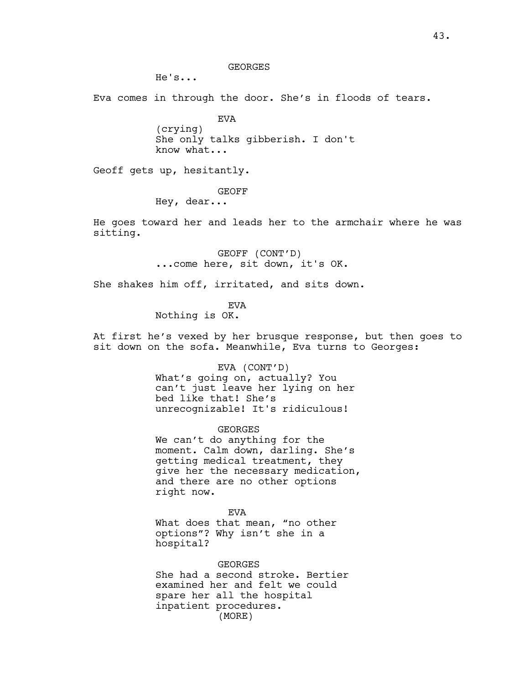GEORGES

He's...

Eva comes in through the door. She's in floods of tears.

EVA (crying) She only talks gibberish. I don't know what...

Geoff gets up, hesitantly.

GEOFF

Hey, dear...

He goes toward her and leads her to the armchair where he was sitting.

> GEOFF (CONT'D) ...come here, sit down, it's OK.

She shakes him off, irritated, and sits down.

EVA

Nothing is OK.

At first he's vexed by her brusque response, but then goes to sit down on the sofa. Meanwhile, Eva turns to Georges:

EVA (CONT'D)

What's going on, actually? You can't just leave her lying on her bed like that! She's unrecognizable! It's ridiculous!

GEORGES

We can't do anything for the moment. Calm down, darling. She's getting medical treatment, they give her the necessary medication, and there are no other options right now.

EVA

What does that mean, "no other options"? Why isn't she in a hospital?

**GEORGES** She had a second stroke. Bertier examined her and felt we could spare her all the hospital inpatient procedures. (MORE)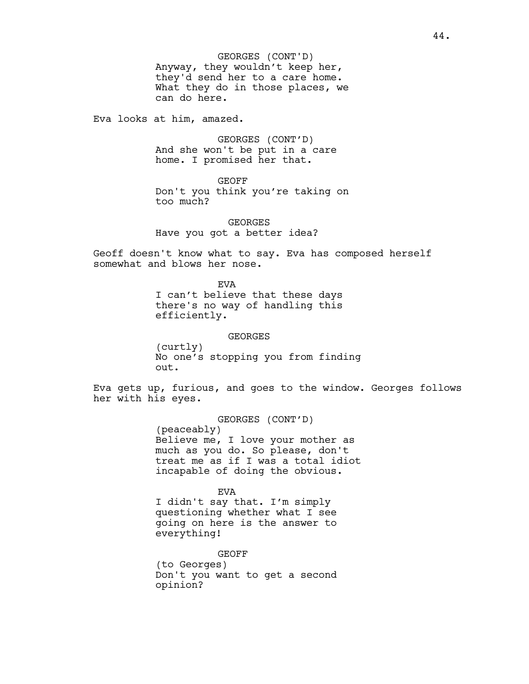Anyway, they wouldn't keep her, they'd send her to a care home. What they do in those places, we can do here. GEORGES (CONT'D)

Eva looks at him, amazed.

GEORGES (CONT'D) And she won't be put in a care home. I promised her that.

GEOFF Don't you think you're taking on too much?

**GEORGES** Have you got a better idea?

Geoff doesn't know what to say. Eva has composed herself somewhat and blows her nose.

> EVA I can't believe that these days there's no way of handling this efficiently.

GEORGES (curtly) No one's stopping you from finding out.

Eva gets up, furious, and goes to the window. Georges follows her with his eyes.

> GEORGES (CONT'D) (peaceably) Believe me, I love your mother as much as you do. So please, don't treat me as if I was a total idiot incapable of doing the obvious.

EVA I didn't say that. I'm simply questioning whether what I see going on here is the answer to everything!

GEOFF (to Georges) Don't you want to get a second opinion?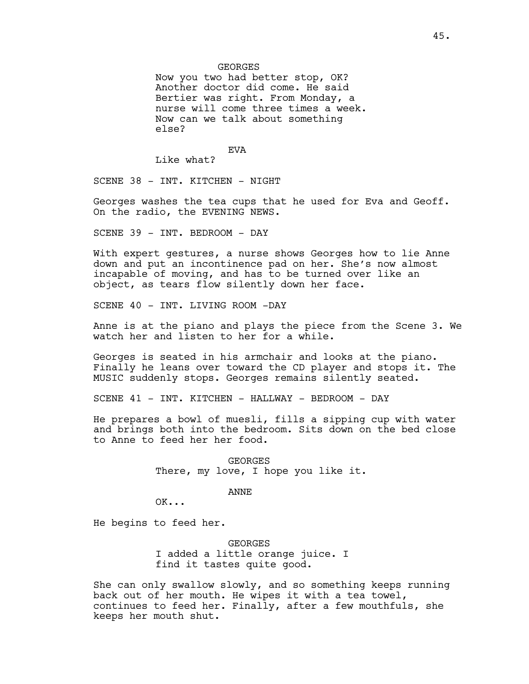**GEORGES** 

Now you two had better stop, OK? Another doctor did come. He said Bertier was right. From Monday, a nurse will come three times a week. Now can we talk about something else?

EVA

Like what?

SCENE 38 - INT. KITCHEN - NIGHT

Georges washes the tea cups that he used for Eva and Geoff. On the radio, the EVENING NEWS.

SCENE 39 - INT. BEDROOM - DAY

With expert gestures, a nurse shows Georges how to lie Anne down and put an incontinence pad on her. She's now almost incapable of moving, and has to be turned over like an object, as tears flow silently down her face.

SCENE 40 - INT. LIVING ROOM -DAY

Anne is at the piano and plays the piece from the Scene 3. We watch her and listen to her for a while.

Georges is seated in his armchair and looks at the piano. Finally he leans over toward the CD player and stops it. The MUSIC suddenly stops. Georges remains silently seated.

SCENE 41 - INT. KITCHEN - HALLWAY - BEDROOM - DAY

He prepares a bowl of muesli, fills a sipping cup with water and brings both into the bedroom. Sits down on the bed close to Anne to feed her her food.

> GEORGES There, my love, I hope you like it.

> > ANNE

OK...

He begins to feed her.

GEORGES I added a little orange juice. I find it tastes quite good.

She can only swallow slowly, and so something keeps running back out of her mouth. He wipes it with a tea towel, continues to feed her. Finally, after a few mouthfuls, she keeps her mouth shut.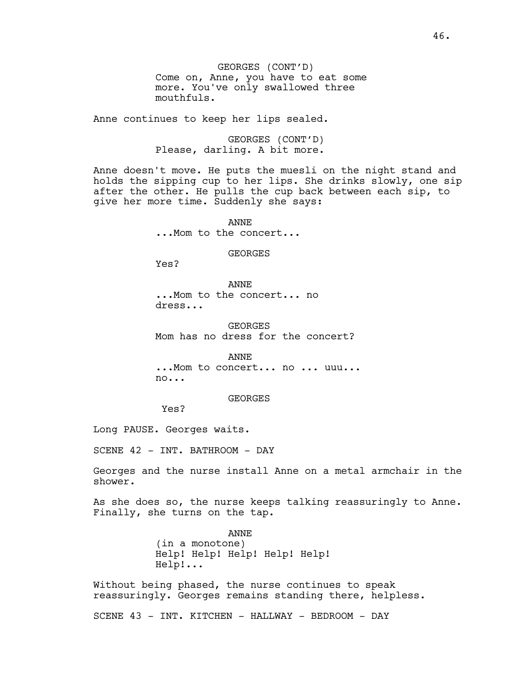GEORGES (CONT'D) Come on, Anne, you have to eat some more. You've only swallowed three mouthfuls.

Anne continues to keep her lips sealed.

GEORGES (CONT'D) Please, darling. A bit more.

Anne doesn't move. He puts the muesli on the night stand and holds the sipping cup to her lips. She drinks slowly, one sip after the other. He pulls the cup back between each sip, to give her more time. Suddenly she says:

> ANNE ...Mom to the concert...

> > GEORGES

Yes?

ANNE ...Mom to the concert... no dress...

GEORGES Mom has no dress for the concert?

ANNE ...Mom to concert... no ... uuu... no...

GEORGES

Yes?

Long PAUSE. Georges waits.

SCENE 42 - INT. BATHROOM - DAY

Georges and the nurse install Anne on a metal armchair in the shower.

As she does so, the nurse keeps talking reassuringly to Anne. Finally, she turns on the tap.

> ANNE (in a monotone) Help! Help! Help! Help! Help! Help!...

Without being phased, the nurse continues to speak reassuringly. Georges remains standing there, helpless.

SCENE 43 - INT. KITCHEN - HALLWAY - BEDROOM - DAY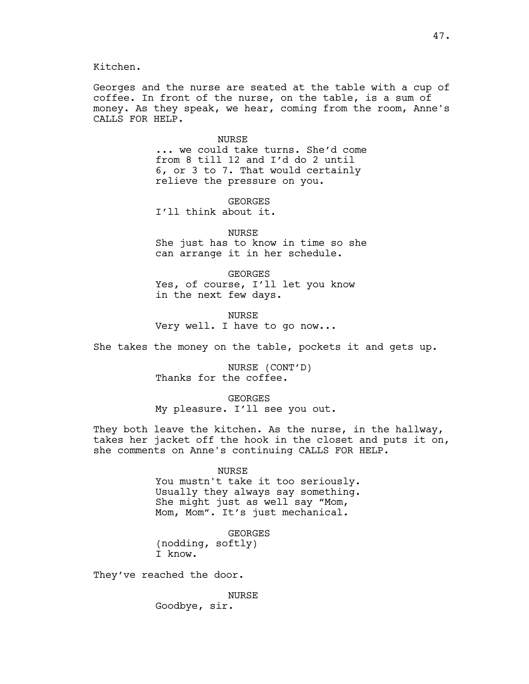Kitchen.

Georges and the nurse are seated at the table with a cup of coffee. In front of the nurse, on the table, is a sum of money. As they speak, we hear, coming from the room, Anne's CALLS FOR HELP.

NURSE

... we could take turns. She'd come from 8 till 12 and I'd do 2 until 6, or 3 to 7. That would certainly relieve the pressure on you.

**GEORGES** I'll think about it.

NURSE She just has to know in time so she can arrange it in her schedule.

GEORGES Yes, of course, I'll let you know in the next few days.

NURSE Very well. I have to go now...

She takes the money on the table, pockets it and gets up.

NURSE (CONT'D) Thanks for the coffee.

GEORGES

My pleasure. I'll see you out.

They both leave the kitchen. As the nurse, in the hallway, takes her jacket off the hook in the closet and puts it on, she comments on Anne's continuing CALLS FOR HELP.

NURSE

You mustn't take it too seriously. Usually they always say something. She might just as well say "Mom, Mom, Mom". It's just mechanical.

GEORGES (nodding, softly) I know.

They've reached the door.

NURSE Goodbye, sir.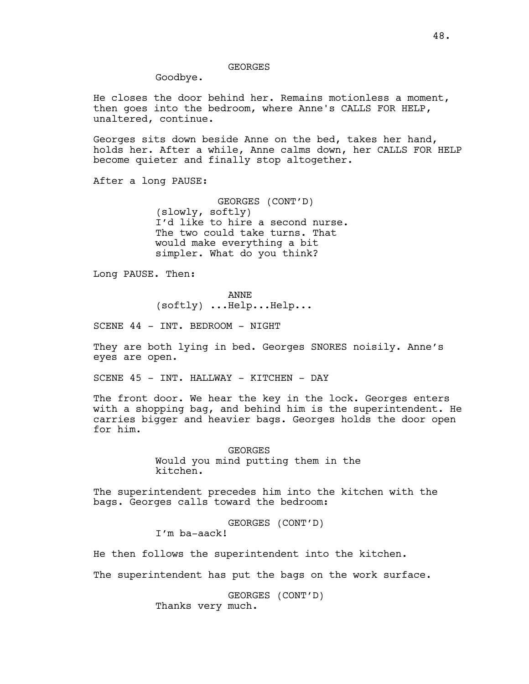## GEORGES

Goodbye.

He closes the door behind her. Remains motionless a moment, then goes into the bedroom, where Anne's CALLS FOR HELP, unaltered, continue.

Georges sits down beside Anne on the bed, takes her hand, holds her. After a while, Anne calms down, her CALLS FOR HELP become quieter and finally stop altogether.

After a long PAUSE:

GEORGES (CONT'D) (slowly, softly) I'd like to hire a second nurse. The two could take turns. That would make everything a bit simpler. What do you think?

Long PAUSE. Then:

ANNE

(softly) ...Help...Help...

SCENE 44 - INT. BEDROOM - NIGHT

They are both lying in bed. Georges SNORES noisily. Anne's eyes are open.

SCENE 45 - INT. HALLWAY - KITCHEN - DAY

The front door. We hear the key in the lock. Georges enters with a shopping bag, and behind him is the superintendent. He carries bigger and heavier bags. Georges holds the door open for him.

> GEORGES Would you mind putting them in the kitchen.

The superintendent precedes him into the kitchen with the bags. Georges calls toward the bedroom:

> GEORGES (CONT'D) I'm ba-aack!

He then follows the superintendent into the kitchen.

The superintendent has put the bags on the work surface.

GEORGES (CONT'D) Thanks very much.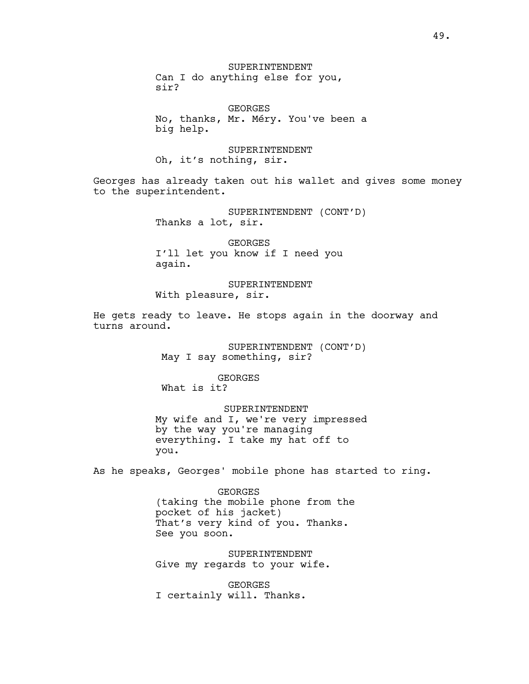SUPERINTENDENT Can I do anything else for you, sir?

GEORGES No, thanks, Mr. Méry. You've been a big help.

SUPERINTENDENT Oh, it's nothing, sir.

Georges has already taken out his wallet and gives some money to the superintendent.

> SUPERINTENDENT (CONT'D) Thanks a lot, sir.

GEORGES I'll let you know if I need you again.

SUPERINTENDENT With pleasure, sir.

He gets ready to leave. He stops again in the doorway and turns around.

> SUPERINTENDENT (CONT'D) May I say something, sir?

GEORGES What is it?

 SUPERINTENDENT My wife and I, we're very impressed by the way you're managing everything. I take my hat off to you.

As he speaks, Georges' mobile phone has started to ring.

GEORGES (taking the mobile phone from the pocket of his jacket) That's very kind of you. Thanks. See you soon.

SUPERINTENDENT Give my regards to your wife.

GEORGES I certainly will. Thanks.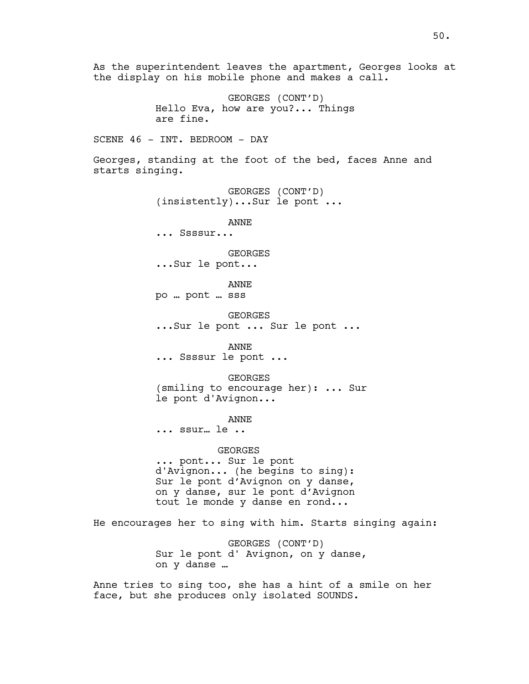As the superintendent leaves the apartment, Georges looks at the display on his mobile phone and makes a call. GEORGES (CONT'D) Hello Eva, how are you?... Things are fine. SCENE 46 - INT. BEDROOM - DAY Georges, standing at the foot of the bed, faces Anne and starts singing. GEORGES (CONT'D) (insistently)...Sur le pont ... ANNE ... Ssssur... GEORGES ...Sur le pont... ANNE po … pont … sss GEORGES ...Sur le pont ... Sur le pont ... ANNE ... Ssssur le pont ... GEORGES (smiling to encourage her): ... Sur le pont d'Avignon... ANNE ... ssur… le .. GEORGES ... pont... Sur le pont d'Avignon... (he begins to sing): Sur le pont d'Avignon on y danse, on y danse, sur le pont d'Avignon tout le monde y danse en rond... He encourages her to sing with him. Starts singing again: GEORGES (CONT'D) Sur le pont d' Avignon, on y danse, on y danse … Anne tries to sing too, she has a hint of a smile on her face, but she produces only isolated SOUNDS.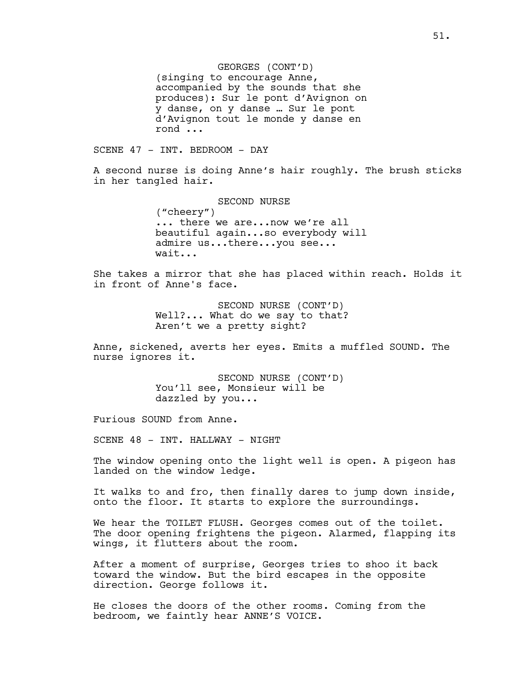GEORGES (CONT'D) (singing to encourage Anne, accompanied by the sounds that she produces): Sur le pont d'Avignon on y danse, on y danse … Sur le pont d'Avignon tout le monde y danse en rond ...

SCENE 47 - INT. BEDROOM - DAY

A second nurse is doing Anne's hair roughly. The brush sticks in her tangled hair.

> SECOND NURSE ("cheery") ... there we are...now we're all beautiful again...so everybody will admire us...there...you see... wait...

She takes a mirror that she has placed within reach. Holds it in front of Anne's face.

> SECOND NURSE (CONT'D) Well?... What do we say to that? Aren't we a pretty sight?

Anne, sickened, averts her eyes. Emits a muffled SOUND. The nurse ignores it.

> SECOND NURSE (CONT'D) You'll see, Monsieur will be dazzled by you...

Furious SOUND from Anne.

SCENE 48 - INT. HALLWAY - NIGHT

The window opening onto the light well is open. A pigeon has landed on the window ledge.

It walks to and fro, then finally dares to jump down inside, onto the floor. It starts to explore the surroundings.

We hear the TOILET FLUSH. Georges comes out of the toilet. The door opening frightens the pigeon. Alarmed, flapping its wings, it flutters about the room.

After a moment of surprise, Georges tries to shoo it back toward the window. But the bird escapes in the opposite direction. George follows it.

He closes the doors of the other rooms. Coming from the bedroom, we faintly hear ANNE'S VOICE.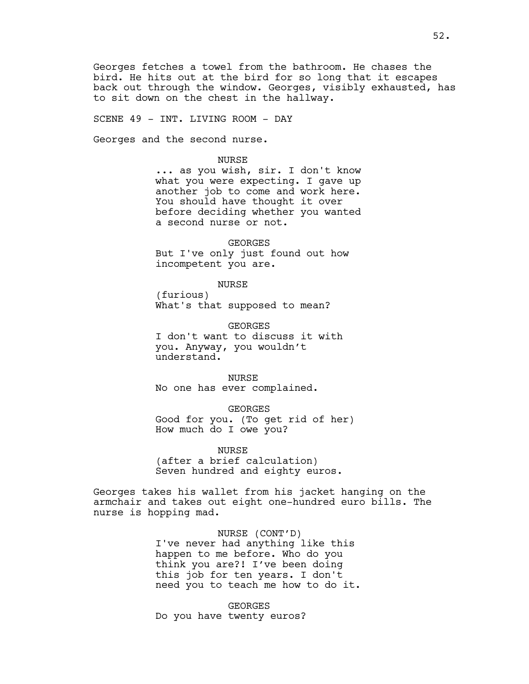Georges fetches a towel from the bathroom. He chases the bird. He hits out at the bird for so long that it escapes back out through the window. Georges, visibly exhausted, has to sit down on the chest in the hallway.

SCENE 49 - INT. LIVING ROOM - DAY

Georges and the second nurse.

### NURSE

... as you wish, sir. I don't know what you were expecting. I gave up another job to come and work here. You should have thought it over before deciding whether you wanted a second nurse or not.

GEORGES But I've only just found out how incompetent you are.

#### NURSE

(furious) What's that supposed to mean?

GEORGES I don't want to discuss it with you. Anyway, you wouldn't understand.

NURSE No one has ever complained.

GEORGES Good for you. (To get rid of her) How much do I owe you?

NURSE (after a brief calculation) Seven hundred and eighty euros.

Georges takes his wallet from his jacket hanging on the armchair and takes out eight one-hundred euro bills. The nurse is hopping mad.

> NURSE (CONT'D) I've never had anything like this happen to me before. Who do you think you are?! I've been doing this job for ten years. I don't need you to teach me how to do it.

GEORGES Do you have twenty euros?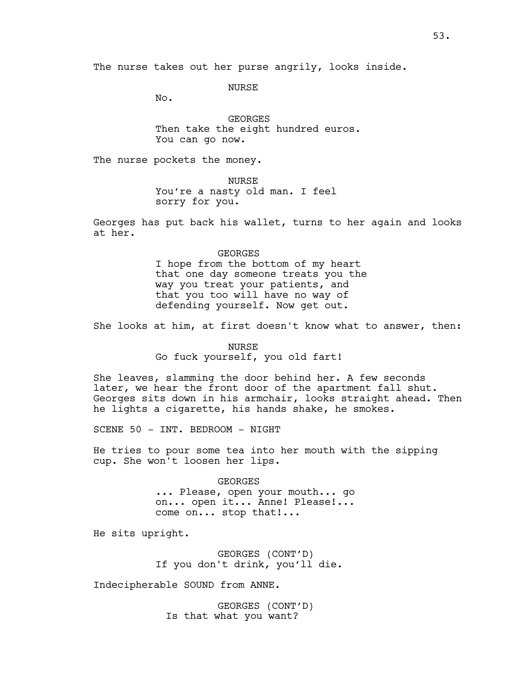The nurse takes out her purse angrily, looks inside.

NURSE

No.

GEORGES Then take the eight hundred euros. You can go now.

The nurse pockets the money.

NURSE

You're a nasty old man. I feel sorry for you.

Georges has put back his wallet, turns to her again and looks at her.

#### GEORGES

I hope from the bottom of my heart that one day someone treats you the way you treat your patients, and that you too will have no way of defending yourself. Now get out.

She looks at him, at first doesn't know what to answer, then:

## NURSE

Go fuck yourself, you old fart!

She leaves, slamming the door behind her. A few seconds later, we hear the front door of the apartment fall shut. Georges sits down in his armchair, looks straight ahead. Then he lights a cigarette, his hands shake, he smokes.

SCENE 50 - INT. BEDROOM - NIGHT

He tries to pour some tea into her mouth with the sipping cup. She won't loosen her lips.

GEORGES

... Please, open your mouth... go on... open it... Anne! Please!... come on... stop that!...

He sits upright.

GEORGES (CONT'D) If you don't drink, you'll die.

Indecipherable SOUND from ANNE.

GEORGES (CONT'D) Is that what you want?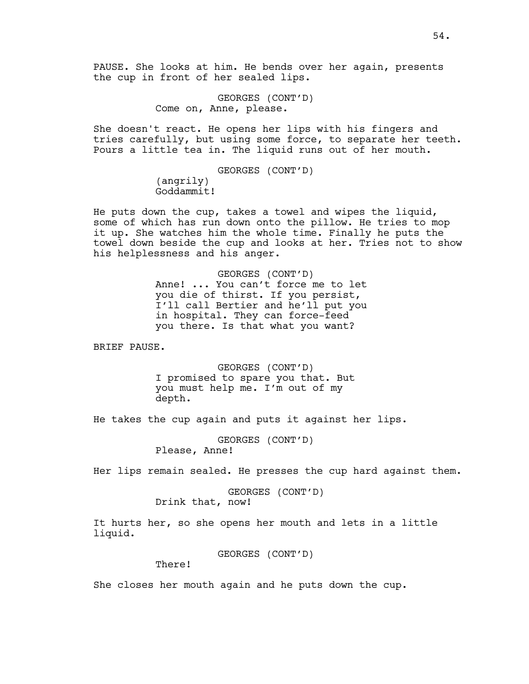GEORGES (CONT'D) Come on, Anne, please.

She doesn't react. He opens her lips with his fingers and tries carefully, but using some force, to separate her teeth. Pours a little tea in. The liquid runs out of her mouth.

> GEORGES (CONT'D) (angrily) Goddammit!

He puts down the cup, takes a towel and wipes the liquid, some of which has run down onto the pillow. He tries to mop it up. She watches him the whole time. Finally he puts the towel down beside the cup and looks at her. Tries not to show his helplessness and his anger.

> GEORGES (CONT'D) Anne! ... You can't force me to let you die of thirst. If you persist, I'll call Bertier and he'll put you in hospital. They can force-feed you there. Is that what you want?

BRIEF PAUSE.

GEORGES (CONT'D) I promised to spare you that. But you must help me. I'm out of my depth.

He takes the cup again and puts it against her lips.

GEORGES (CONT'D) Please, Anne!

Her lips remain sealed. He presses the cup hard against them.

GEORGES (CONT'D) Drink that, now!

It hurts her, so she opens her mouth and lets in a little liquid.

GEORGES (CONT'D)

There!

She closes her mouth again and he puts down the cup.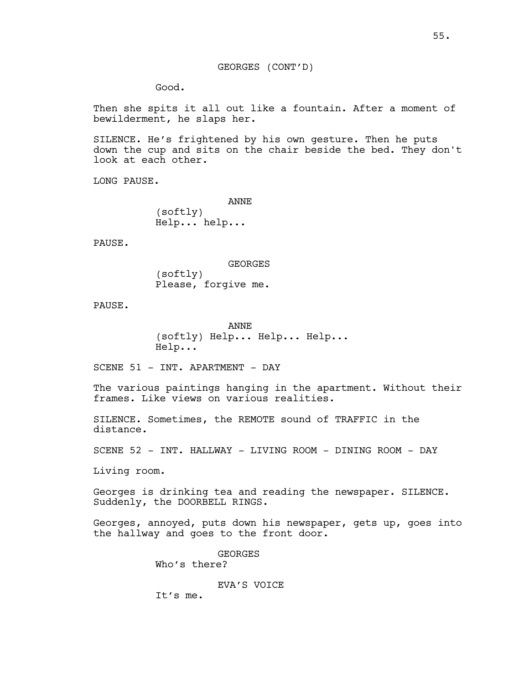# GEORGES (CONT'D)

Good.

Then she spits it all out like a fountain. After a moment of bewilderment, he slaps her.

SILENCE. He's frightened by his own gesture. Then he puts down the cup and sits on the chair beside the bed. They don't look at each other.

LONG PAUSE.

ANNE (softly) Help... help...

PAUSE.

GEORGES (softly) Please, forgive me.

PAUSE.

ANNE (softly) Help... Help... Help... Help...

SCENE 51 - INT. APARTMENT - DAY

The various paintings hanging in the apartment. Without their frames. Like views on various realities.

SILENCE. Sometimes, the REMOTE sound of TRAFFIC in the distance.

SCENE 52 - INT. HALLWAY - LIVING ROOM - DINING ROOM - DAY

Living room.

Georges is drinking tea and reading the newspaper. SILENCE. Suddenly, the DOORBELL RINGS.

Georges, annoyed, puts down his newspaper, gets up, goes into the hallway and goes to the front door.

> GEORGES Who's there?

> > EVA'S VOICE

It's me.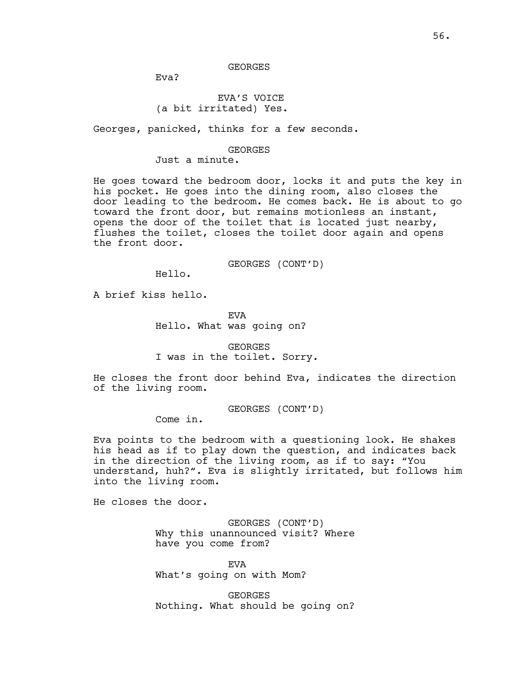### GEORGES

Eva?

## EVA'S VOICE (a bit irritated) Yes.

Georges, panicked, thinks for a few seconds.

#### GEORGES

Just a minute.

He goes toward the bedroom door, locks it and puts the key in his pocket. He goes into the dining room, also closes the door leading to the bedroom. He comes back. He is about to go toward the front door, but remains motionless an instant, opens the door of the toilet that is located just nearby, flushes the toilet, closes the toilet door again and opens the front door.

GEORGES (CONT'D)

Hello.

A brief kiss hello.

EVA Hello. What was going on?

GEORGES I was in the toilet. Sorry.

He closes the front door behind Eva, indicates the direction of the living room.

GEORGES (CONT'D)

Come in.

Eva points to the bedroom with a questioning look. He shakes his head as if to play down the question, and indicates back in the direction of the living room, as if to say: "You understand, huh?". Eva is slightly irritated, but follows him into the living room.

He closes the door.

GEORGES (CONT'D) Why this unannounced visit? Where have you come from?

EVA What's going on with Mom?

GEORGES Nothing. What should be going on?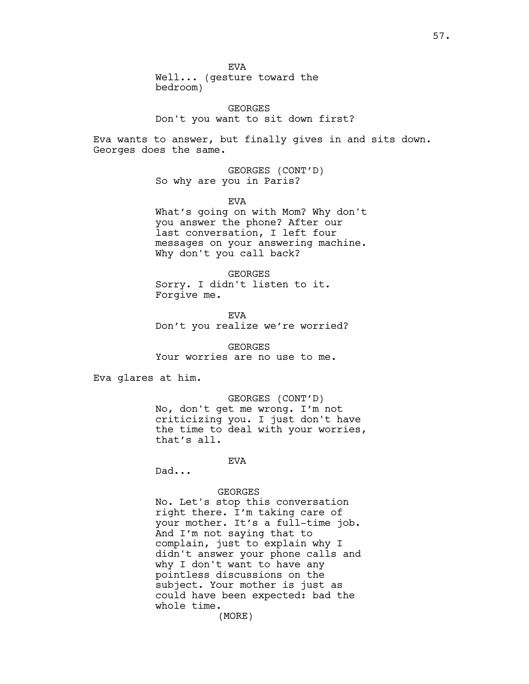EVA

Well... (gesture toward the bedroom)

GEORGES Don't you want to sit down first?

Eva wants to answer, but finally gives in and sits down. Georges does the same.

> GEORGES (CONT'D) So why are you in Paris?

> > EVA

What's going on with Mom? Why don't you answer the phone? After our last conversation, I left four messages on your answering machine. Why don't you call back?

GEORGES Sorry. I didn't listen to it. Forgive me.

EVA Don't you realize we're worried?

GEORGES Your worries are no use to me.

Eva glares at him.

GEORGES (CONT'D) No, don't get me wrong. I'm not criticizing you. I just don't have the time to deal with your worries, that's all.

# EVA

Dad...

## GEORGES

No. Let's stop this conversation right there. I'm taking care of your mother. It's a full-time job. And I'm not saying that to complain, just to explain why I didn't answer your phone calls and why I don't want to have any pointless discussions on the subject. Your mother is just as could have been expected: bad the whole time.

(MORE)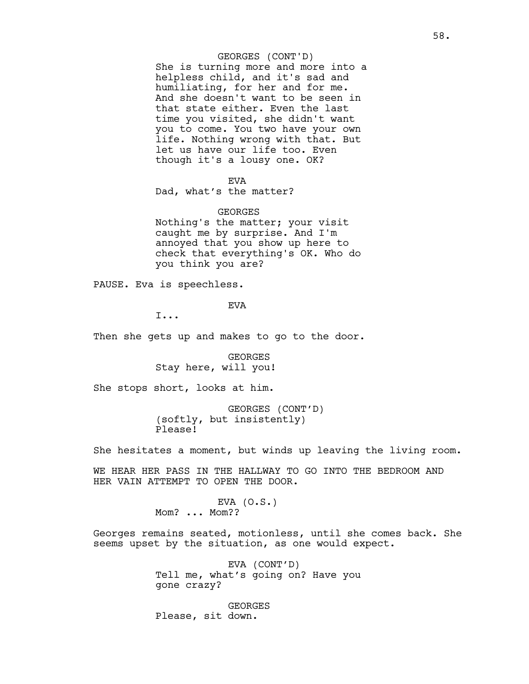## GEORGES (CONT'D)

She is turning more and more into a helpless child, and it's sad and humiliating, for her and for me. And she doesn't want to be seen in that state either. Even the last time you visited, she didn't want you to come. You two have your own life. Nothing wrong with that. But let us have our life too. Even though it's a lousy one. OK?

EVA

Dad, what's the matter?

#### GEORGES

Nothing's the matter; your visit caught me by surprise. And I'm annoyed that you show up here to check that everything's OK. Who do you think you are?

PAUSE. Eva is speechless.

## EVA

I...

Then she gets up and makes to go to the door.

GEORGES Stay here, will you!

She stops short, looks at him.

GEORGES (CONT'D) (softly, but insistently) Please!

She hesitates a moment, but winds up leaving the living room.

WE HEAR HER PASS IN THE HALLWAY TO GO INTO THE BEDROOM AND HER VAIN ATTEMPT TO OPEN THE DOOR.

> EVA  $(0.S.)$ Mom? ... Mom??

Georges remains seated, motionless, until she comes back. She seems upset by the situation, as one would expect.

> EVA (CONT'D) Tell me, what's going on? Have you gone crazy?

GEORGES Please, sit down.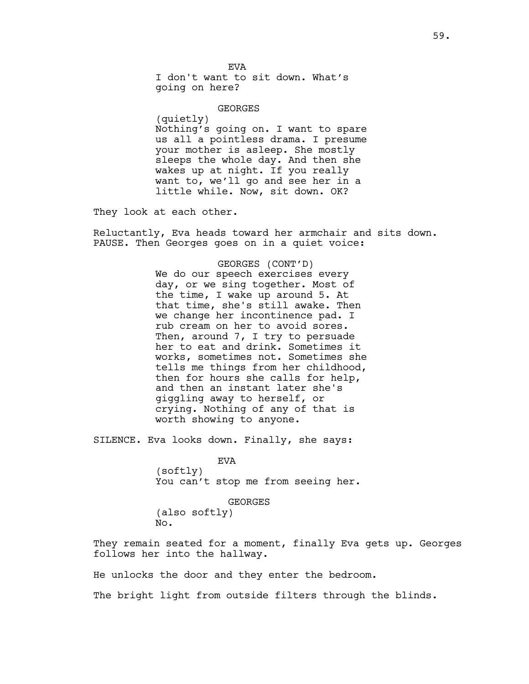EVA I don't want to sit down. What's going on here?

GEORGES (quietly) Nothing's going on. I want to spare us all a pointless drama. I presume your mother is asleep. She mostly sleeps the whole day. And then she wakes up at night. If you really want to, we'll go and see her in a little while. Now, sit down. OK?

They look at each other.

Reluctantly, Eva heads toward her armchair and sits down. PAUSE. Then Georges goes on in a quiet voice:

> GEORGES (CONT'D) We do our speech exercises every day, or we sing together. Most of the time, I wake up around 5. At that time, she's still awake. Then we change her incontinence pad. I rub cream on her to avoid sores. Then, around 7, I try to persuade her to eat and drink. Sometimes it works, sometimes not. Sometimes she tells me things from her childhood, then for hours she calls for help, and then an instant later she's giggling away to herself, or crying. Nothing of any of that is worth showing to anyone.

SILENCE. Eva looks down. Finally, she says:

EVA (softly) You can't stop me from seeing her.

GEORGES (also softly) No.

They remain seated for a moment, finally Eva gets up. Georges follows her into the hallway.

He unlocks the door and they enter the bedroom.

The bright light from outside filters through the blinds.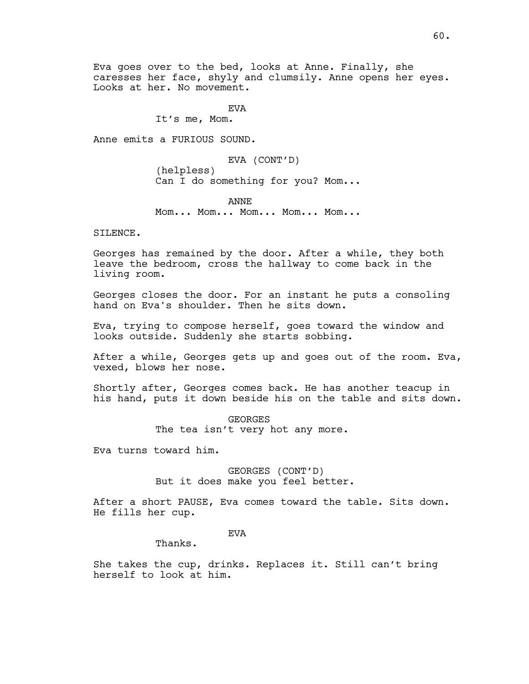Eva goes over to the bed, looks at Anne. Finally, she caresses her face, shyly and clumsily. Anne opens her eyes. Looks at her. No movement.

**EVA** 

It's me, Mom.

Anne emits a FURIOUS SOUND.

EVA (CONT'D) (helpless) Can I do something for you? Mom...

ANNE Mom... Mom... Mom... Mom... Mom...

SILENCE.

Georges has remained by the door. After a while, they both leave the bedroom, cross the hallway to come back in the living room.

Georges closes the door. For an instant he puts a consoling hand on Eva's shoulder. Then he sits down.

Eva, trying to compose herself, goes toward the window and looks outside. Suddenly she starts sobbing.

After a while, Georges gets up and goes out of the room. Eva, vexed, blows her nose.

Shortly after, Georges comes back. He has another teacup in his hand, puts it down beside his on the table and sits down.

> GEORGES The tea isn't very hot any more.

Eva turns toward him.

GEORGES (CONT'D) But it does make you feel better.

After a short PAUSE, Eva comes toward the table. Sits down. He fills her cup.

EVA

Thanks.

She takes the cup, drinks. Replaces it. Still can't bring herself to look at him.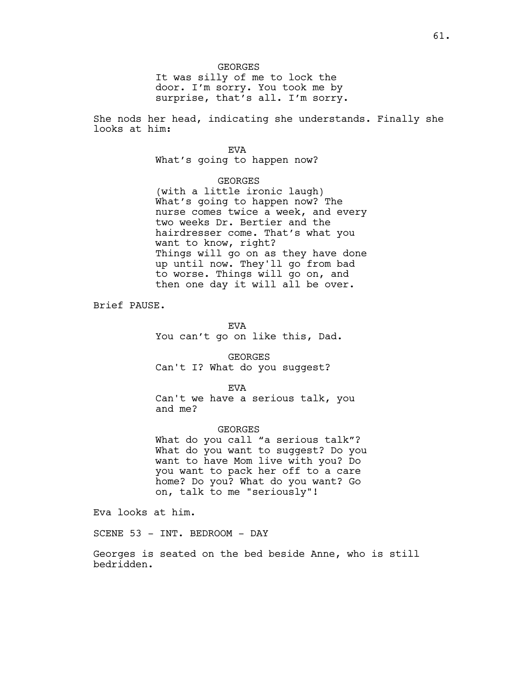It was silly of me to lock the door. I'm sorry. You took me by surprise, that's all. I'm sorry.

She nods her head, indicating she understands. Finally she looks at him:

## EVA

What's going to happen now?

## GEORGES

(with a little ironic laugh) What's going to happen now? The nurse comes twice a week, and every two weeks Dr. Bertier and the hairdresser come. That's what you want to know, right? Things will go on as they have done up until now. They'll go from bad to worse. Things will go on, and then one day it will all be over.

Brief PAUSE.

EVA You can't go on like this, Dad.

GEORGES Can't I? What do you suggest?

EVA

Can't we have a serious talk, you and me?

GEORGES What do you call "a serious talk"? What do you want to suggest? Do you want to have Mom live with you? Do you want to pack her off to a care home? Do you? What do you want? Go on, talk to me "seriously"!

Eva looks at him.

SCENE 53 - INT. BEDROOM - DAY

Georges is seated on the bed beside Anne, who is still bedridden.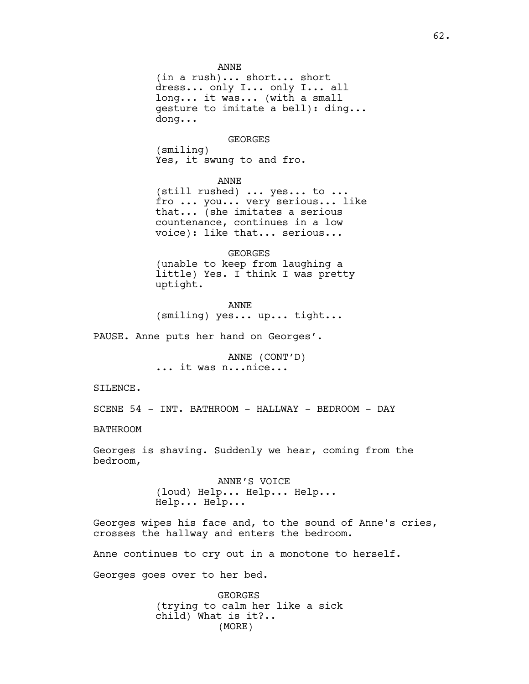ANNE

(in a rush)... short... short dress... only I... only I... all long... it was... (with a small gesture to imitate a bell): ding... dong...

GEORGES

(smiling) Yes, it swung to and fro.

ANNE (still rushed) ... yes... to ... fro ... you... very serious... like that... (she imitates a serious countenance, continues in a low voice): like that... serious...

GEORGES (unable to keep from laughing a little) Yes. I think I was pretty uptight.

ANNE (smiling) yes... up... tight...

PAUSE. Anne puts her hand on Georges'.

ANNE (CONT'D) ... it was n...nice...

SILENCE.

SCENE 54 - INT. BATHROOM - HALLWAY - BEDROOM - DAY

BATHROOM

Georges is shaving. Suddenly we hear, coming from the bedroom,

> ANNE'S VOICE (loud) Help... Help... Help... Help... Help...

Georges wipes his face and, to the sound of Anne's cries, crosses the hallway and enters the bedroom.

Anne continues to cry out in a monotone to herself.

Georges goes over to her bed.

GEORGES (trying to calm her like a sick child) What is it?.. (MORE)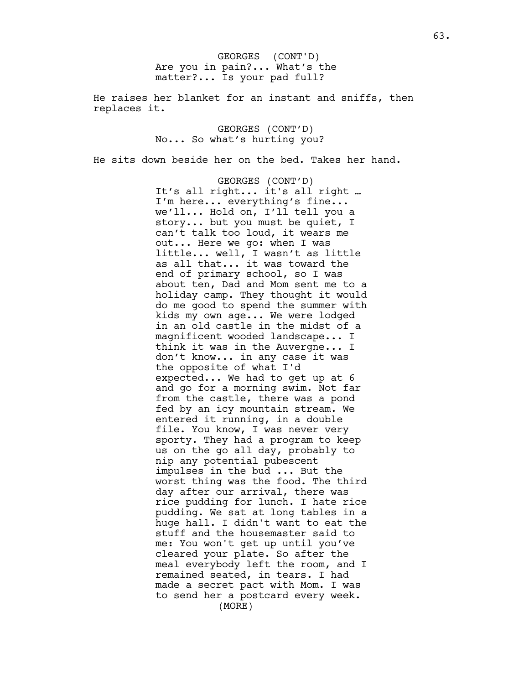Are you in pain?... What's the matter?... Is your pad full? GEORGES (CONT'D)

He raises her blanket for an instant and sniffs, then replaces it.

> GEORGES (CONT'D) No... So what's hurting you?

He sits down beside her on the bed. Takes her hand.

GEORGES (CONT'D) It's all right... it's all right … I'm here... everything's fine... we'll... Hold on, I'll tell you a story... but you must be quiet, I can't talk too loud, it wears me out... Here we go: when I was little... well, I wasn't as little as all that... it was toward the end of primary school, so I was about ten, Dad and Mom sent me to a holiday camp. They thought it would do me good to spend the summer with kids my own age... We were lodged in an old castle in the midst of a magnificent wooded landscape... I think it was in the Auvergne... I don't know... in any case it was the opposite of what I'd expected... We had to get up at 6 and go for a morning swim. Not far from the castle, there was a pond fed by an icy mountain stream. We entered it running, in a double file. You know, I was never very sporty. They had a program to keep us on the go all day, probably to nip any potential pubescent impulses in the bud ... But the worst thing was the food. The third day after our arrival, there was rice pudding for lunch. I hate rice pudding. We sat at long tables in a huge hall. I didn't want to eat the stuff and the housemaster said to me: You won't get up until you've cleared your plate. So after the meal everybody left the room, and I remained seated, in tears. I had made a secret pact with Mom. I was to send her a postcard every week. (MORE)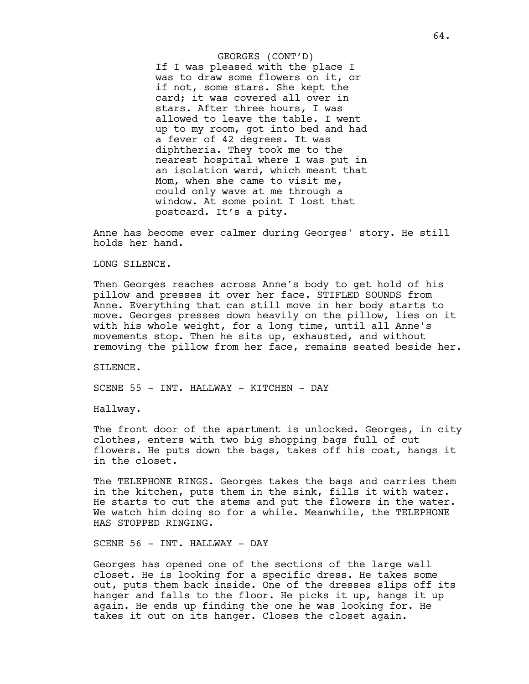If I was pleased with the place I was to draw some flowers on it, or if not, some stars. She kept the card; it was covered all over in stars. After three hours, I was allowed to leave the table. I went up to my room, got into bed and had a fever of 42 degrees. It was diphtheria. They took me to the nearest hospital where I was put in an isolation ward, which meant that Mom, when she came to visit me, could only wave at me through a window. At some point I lost that postcard. It's a pity. GEORGES (CONT'D)

Anne has become ever calmer during Georges' story. He still holds her hand.

LONG SILENCE.

Then Georges reaches across Anne's body to get hold of his pillow and presses it over her face. STIFLED SOUNDS from Anne. Everything that can still move in her body starts to move. Georges presses down heavily on the pillow, lies on it with his whole weight, for a long time, until all Anne's movements stop. Then he sits up, exhausted, and without removing the pillow from her face, remains seated beside her.

SILENCE.

SCENE 55 - INT. HALLWAY - KITCHEN - DAY

Hallway.

The front door of the apartment is unlocked. Georges, in city clothes, enters with two big shopping bags full of cut flowers. He puts down the bags, takes off his coat, hangs it in the closet.

The TELEPHONE RINGS. Georges takes the bags and carries them in the kitchen, puts them in the sink, fills it with water. He starts to cut the stems and put the flowers in the water. We watch him doing so for a while. Meanwhile, the TELEPHONE HAS STOPPED RINGING.

SCENE 56 - INT. HALLWAY - DAY

Georges has opened one of the sections of the large wall closet. He is looking for a specific dress. He takes some out, puts them back inside. One of the dresses slips off its hanger and falls to the floor. He picks it up, hangs it up again. He ends up finding the one he was looking for. He takes it out on its hanger. Closes the closet again.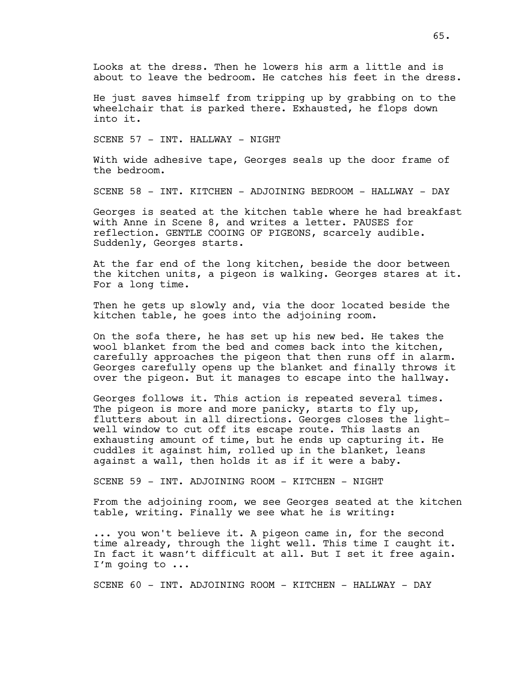Looks at the dress. Then he lowers his arm a little and is about to leave the bedroom. He catches his feet in the dress.

He just saves himself from tripping up by grabbing on to the wheelchair that is parked there. Exhausted, he flops down into it.

SCENE 57 - INT. HALLWAY - NIGHT

With wide adhesive tape, Georges seals up the door frame of the bedroom.

SCENE 58 - INT. KITCHEN - ADJOINING BEDROOM - HALLWAY - DAY

Georges is seated at the kitchen table where he had breakfast with Anne in Scene 8, and writes a letter. PAUSES for reflection. GENTLE COOING OF PIGEONS, scarcely audible. Suddenly, Georges starts.

At the far end of the long kitchen, beside the door between the kitchen units, a pigeon is walking. Georges stares at it. For a long time.

Then he gets up slowly and, via the door located beside the kitchen table, he goes into the adjoining room.

On the sofa there, he has set up his new bed. He takes the wool blanket from the bed and comes back into the kitchen, carefully approaches the pigeon that then runs off in alarm. Georges carefully opens up the blanket and finally throws it over the pigeon. But it manages to escape into the hallway.

Georges follows it. This action is repeated several times. The pigeon is more and more panicky, starts to fly up, flutters about in all directions. Georges closes the lightwell window to cut off its escape route. This lasts an exhausting amount of time, but he ends up capturing it. He cuddles it against him, rolled up in the blanket, leans against a wall, then holds it as if it were a baby.

SCENE 59 - INT. ADJOINING ROOM - KITCHEN - NIGHT

From the adjoining room, we see Georges seated at the kitchen table, writing. Finally we see what he is writing:

... you won't believe it. A pigeon came in, for the second time already, through the light well. This time I caught it. In fact it wasn't difficult at all. But I set it free again. I'm going to ...

SCENE 60 - INT. ADJOINING ROOM - KITCHEN - HALLWAY - DAY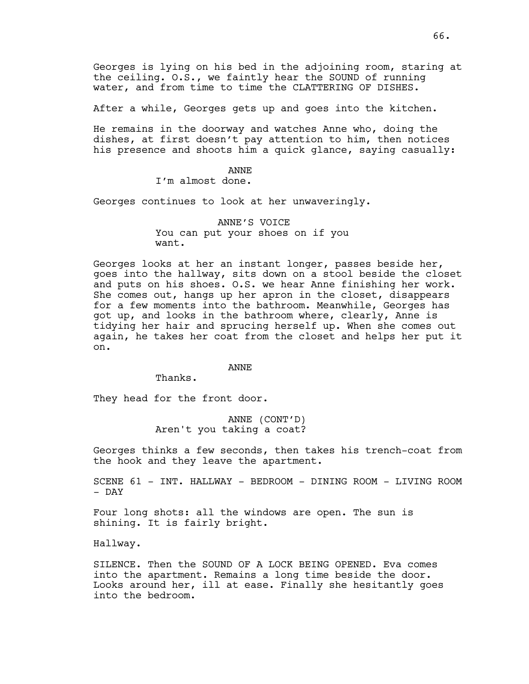Georges is lying on his bed in the adjoining room, staring at the ceiling. O.S., we faintly hear the SOUND of running water, and from time to time the CLATTERING OF DISHES.

After a while, Georges gets up and goes into the kitchen.

He remains in the doorway and watches Anne who, doing the dishes, at first doesn't pay attention to him, then notices his presence and shoots him a quick glance, saying casually:

> ANNE I'm almost done.

Georges continues to look at her unwaveringly.

ANNE'S VOICE You can put your shoes on if you want.

Georges looks at her an instant longer, passes beside her, goes into the hallway, sits down on a stool beside the closet and puts on his shoes. O.S. we hear Anne finishing her work. She comes out, hangs up her apron in the closet, disappears for a few moments into the bathroom. Meanwhile, Georges has got up, and looks in the bathroom where, clearly, Anne is tidying her hair and sprucing herself up. When she comes out again, he takes her coat from the closet and helps her put it on.

ANNE

Thanks.

They head for the front door.

ANNE (CONT'D) Aren't you taking a coat?

Georges thinks a few seconds, then takes his trench-coat from the hook and they leave the apartment.

SCENE 61 - INT. HALLWAY - BEDROOM - DINING ROOM - LIVING ROOM - DAY

Four long shots: all the windows are open. The sun is shining. It is fairly bright.

Hallway.

SILENCE. Then the SOUND OF A LOCK BEING OPENED. Eva comes into the apartment. Remains a long time beside the door. Looks around her, ill at ease. Finally she hesitantly goes into the bedroom.